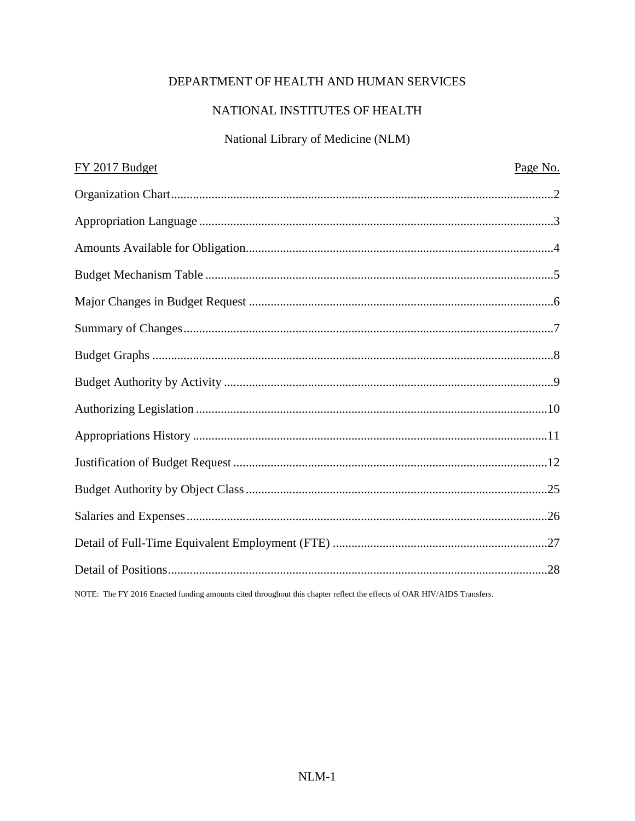# DEPARTMENT OF HEALTH AND HUMAN SERVICES

# NATIONAL INSTITUTES OF HEALTH

# National Library of Medicine (NLM)

| FY 2017 Budget                                                                                                                                                                                                                                                                                                      | Page No. |
|---------------------------------------------------------------------------------------------------------------------------------------------------------------------------------------------------------------------------------------------------------------------------------------------------------------------|----------|
|                                                                                                                                                                                                                                                                                                                     |          |
|                                                                                                                                                                                                                                                                                                                     |          |
|                                                                                                                                                                                                                                                                                                                     |          |
|                                                                                                                                                                                                                                                                                                                     |          |
|                                                                                                                                                                                                                                                                                                                     |          |
|                                                                                                                                                                                                                                                                                                                     |          |
|                                                                                                                                                                                                                                                                                                                     |          |
|                                                                                                                                                                                                                                                                                                                     |          |
|                                                                                                                                                                                                                                                                                                                     |          |
|                                                                                                                                                                                                                                                                                                                     |          |
|                                                                                                                                                                                                                                                                                                                     |          |
|                                                                                                                                                                                                                                                                                                                     |          |
|                                                                                                                                                                                                                                                                                                                     |          |
|                                                                                                                                                                                                                                                                                                                     |          |
|                                                                                                                                                                                                                                                                                                                     |          |
| $\frac{1}{2}$ $\frac{1}{2}$ $\frac{1}{2}$ $\frac{1}{2}$ $\frac{1}{2}$ $\frac{1}{2}$ $\frac{1}{2}$ $\frac{1}{2}$ $\frac{1}{2}$ $\frac{1}{2}$ $\frac{1}{2}$ $\frac{1}{2}$ $\frac{1}{2}$ $\frac{1}{2}$ $\frac{1}{2}$ $\frac{1}{2}$ $\frac{1}{2}$ $\frac{1}{2}$ $\frac{1}{2}$ $\frac{1}{2}$ $\frac{1}{2}$ $\frac{1}{2}$ |          |

NOTE: The FY 2016 Enacted funding amounts cited throughout this chapter reflect the effects of OAR HIV/AIDS Transfers.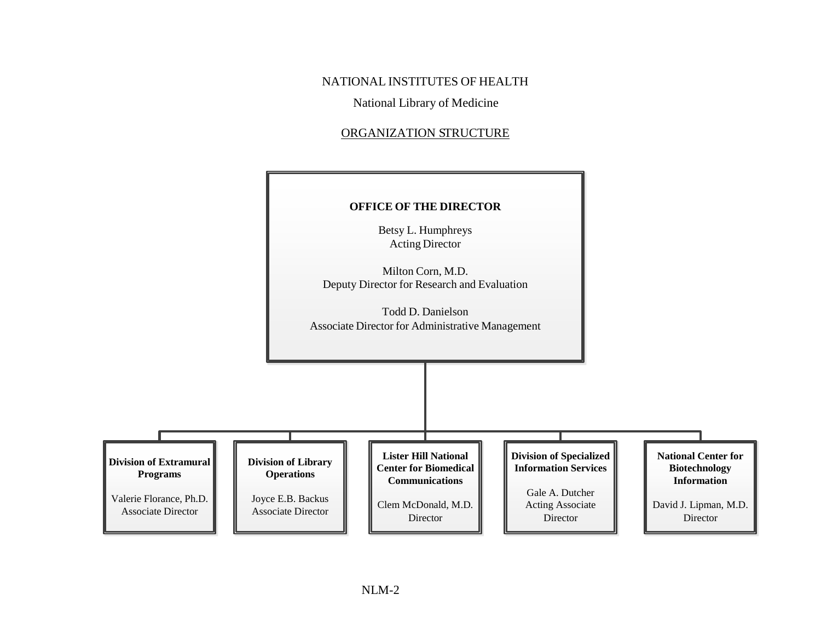NATIONAL INSTITUTES OF HEALTH

National Library of Medicine

#### ORGANIZATION STRUCTURE

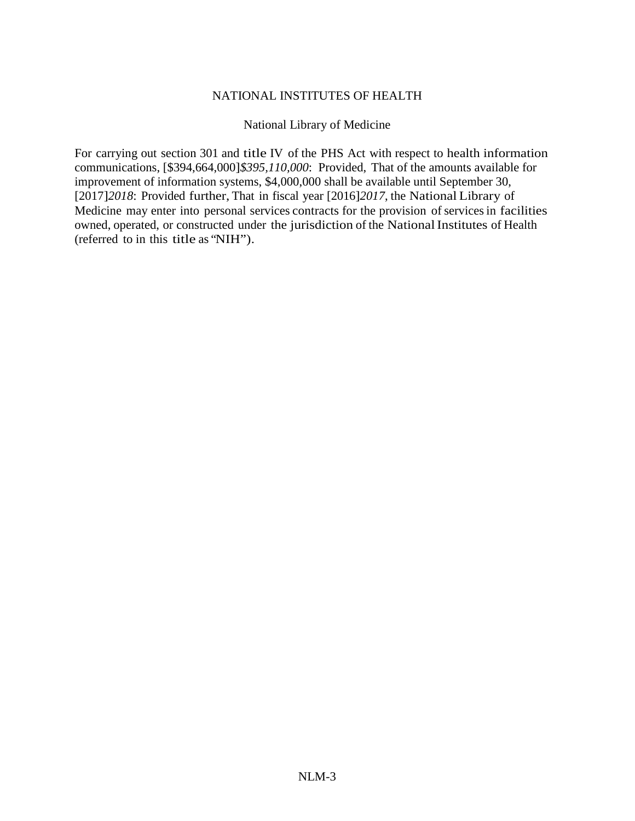#### NATIONAL INSTITUTES OF HEALTH

#### National Library of Medicine

For carrying out section 301 and title IV of the PHS Act with respect to health information communications, [\$394,664,000]*\$395,110,000*: Provided, That of the amounts available for improvement of information systems, \$4,000,000 shall be available until September 30, [2017]*2018*: Provided further, That in fiscal year [2016]*2017*, the National Library of Medicine may enter into personal services contracts for the provision of services in facilities owned, operated, or constructed under the jurisdiction of the National Institutes of Health (referred to in this title as "NIH").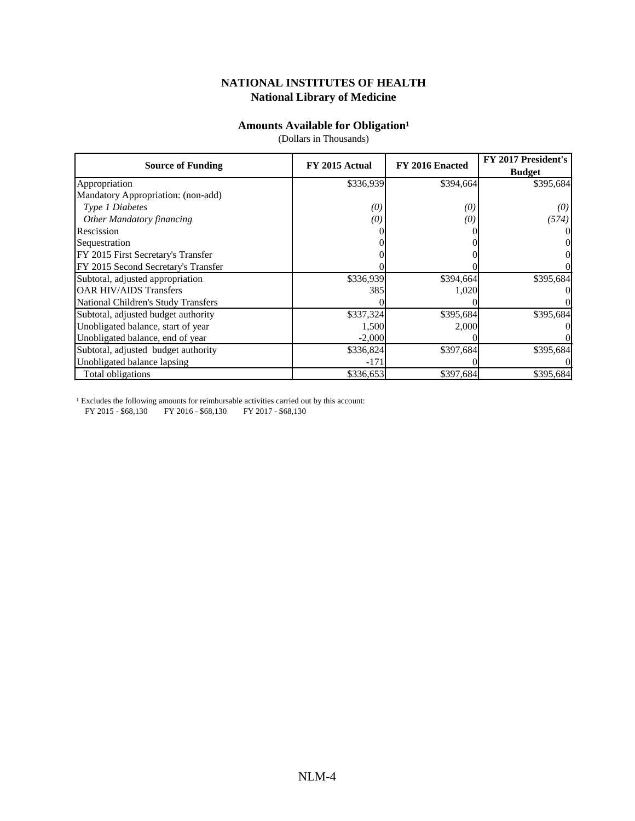#### **Amounts Available for Obligation**<sup>1</sup>

(Dollars in Thousands)

|                                     | FY 2015 Actual | FY 2016 Enacted | FY 2017 President's |
|-------------------------------------|----------------|-----------------|---------------------|
| <b>Source of Funding</b>            |                |                 | <b>Budget</b>       |
| Appropriation                       | \$336,939      | \$394,664       | \$395,684           |
| Mandatory Appropriation: (non-add)  |                |                 |                     |
| Type 1 Diabetes                     | (0)            | (0)             | (0)                 |
| <b>Other Mandatory financing</b>    | (0)            | (0)             | (574)               |
| Rescission                          |                |                 |                     |
| Sequestration                       |                |                 |                     |
| FY 2015 First Secretary's Transfer  |                |                 |                     |
| FY 2015 Second Secretary's Transfer |                |                 |                     |
| Subtotal, adjusted appropriation    | \$336,939      | \$394,664       | \$395,684           |
| <b>OAR HIV/AIDS Transfers</b>       | 385            | 1,020           |                     |
| National Children's Study Transfers |                |                 |                     |
| Subtotal, adjusted budget authority | \$337,324      | \$395,684       | \$395,684           |
| Unobligated balance, start of year  | 1,500          | 2,000           |                     |
| Unobligated balance, end of year    | $-2,000$       |                 |                     |
| Subtotal, adjusted budget authority | \$336,824      | \$397,684       | \$395,684           |
| Unobligated balance lapsing         | $-171$         |                 |                     |
| Total obligations                   | \$336,653      | \$397,684       | \$395,684           |

<sup>1</sup> Excludes the following amounts for reimbursable activities carried out by this account:

FY 2015 - \$68,130 FY 2016 - \$68,130 FY 2017 - \$68,130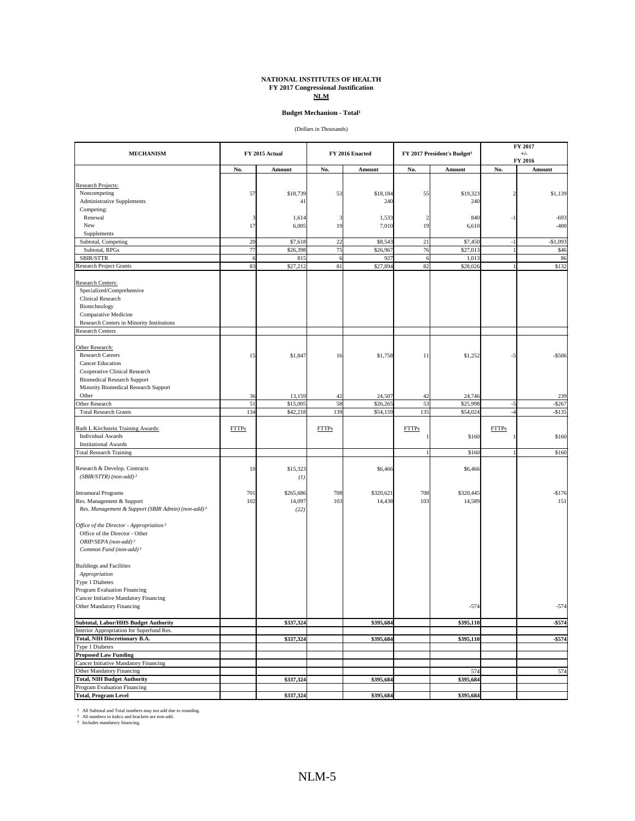#### **NATIONAL INSTITUTES OF HEALTH FY 2017 Congressional Justification NLM**

#### **Budget Mechanism - Total<sup>1</sup>**

(Dollars in Thousands)

| <b>MECHANISM</b>                                              |              | FY 2015 Actual |              | FY 2016 Enacted | FY 2017 President's Budget <sup>3</sup> |           |                         | FY 2017<br>$+/-$<br>FY 2016 |  |  |
|---------------------------------------------------------------|--------------|----------------|--------------|-----------------|-----------------------------------------|-----------|-------------------------|-----------------------------|--|--|
|                                                               | No.          | Amount         | No.          | Amount          | No.                                     | Amount    | No.                     | Amount                      |  |  |
|                                                               |              |                |              |                 |                                         |           |                         |                             |  |  |
| Research Projects:                                            |              |                |              |                 |                                         |           |                         |                             |  |  |
| Noncompeting                                                  | 57           | \$18,739       | 53           | \$18,184        | 55                                      | \$19,323  | $\overline{\mathbf{c}}$ | \$1,139                     |  |  |
| Administrative Supplements                                    |              | 4 <sup>1</sup> |              | 240             |                                         | 240       |                         |                             |  |  |
| Competing:                                                    |              |                |              |                 |                                         |           |                         |                             |  |  |
| Renewal                                                       | ß            | 1,614          |              | 1,533           |                                         | 840       | $-1$                    | $-693$                      |  |  |
| New                                                           | 17           | 6,005          | 19           | 7,010           | 19                                      | 6,610     |                         | $-400$                      |  |  |
| Supplements                                                   |              |                |              |                 |                                         |           |                         |                             |  |  |
| Subtotal, Competing                                           | 20           | \$7,618        | 22           | \$8,543         | 21                                      | \$7,450   | $-1$                    | $-$1,09$                    |  |  |
| Subtotal, RPGs                                                | 77           | \$26,398       | 75           | \$26,967        | 76                                      | \$27,013  |                         | \$46                        |  |  |
| SBIR/STTR                                                     | 6            | 815            | 6            | 927             | 6                                       | 1,013     |                         | 86                          |  |  |
| Research Project Grants                                       | 83           | \$27,212       | 81           | \$27,894        | 82                                      | \$28,026  |                         | \$132                       |  |  |
|                                                               |              |                |              |                 |                                         |           |                         |                             |  |  |
| Research Centers:                                             |              |                |              |                 |                                         |           |                         |                             |  |  |
| Specialized/Comprehensive                                     |              |                |              |                 |                                         |           |                         |                             |  |  |
| Clinical Research                                             |              |                |              |                 |                                         |           |                         |                             |  |  |
| Biotechnology                                                 |              |                |              |                 |                                         |           |                         |                             |  |  |
| Comparative Medicine                                          |              |                |              |                 |                                         |           |                         |                             |  |  |
| Research Centers in Minority Institutions                     |              |                |              |                 |                                         |           |                         |                             |  |  |
| <b>Research Centers</b>                                       |              |                |              |                 |                                         |           |                         |                             |  |  |
|                                                               |              |                |              |                 |                                         |           |                         |                             |  |  |
| Other Research:                                               |              |                |              |                 |                                         |           |                         |                             |  |  |
| <b>Research Careers</b>                                       | 15           | \$1,847        | 16           | \$1,758         | 11                                      | \$1,252   | -5                      | $-$506$                     |  |  |
| <b>Cancer Education</b>                                       |              |                |              |                 |                                         |           |                         |                             |  |  |
| Cooperative Clinical Research                                 |              |                |              |                 |                                         |           |                         |                             |  |  |
| <b>Biomedical Research Support</b>                            |              |                |              |                 |                                         |           |                         |                             |  |  |
| Minority Biomedical Research Support                          |              |                |              |                 |                                         |           |                         |                             |  |  |
| Other                                                         | 36           | 13,159         | 42           | 24,507          | 42                                      | 24,746    |                         | 239                         |  |  |
| Other Research                                                | 51           | \$15,005       | 58           | \$26,265        | 53                                      | \$25,998  | $-5$                    | $-$ \$267                   |  |  |
| <b>Total Research Grants</b>                                  | 134          | \$42,218       | 139          | \$54,159        | 135                                     | \$54,024  | $-4$                    | $-$135$                     |  |  |
|                                                               |              |                |              |                 |                                         |           |                         |                             |  |  |
| Ruth L Kirchstein Training Awards:                            | <b>FTTPs</b> |                | <b>FTTPs</b> |                 | <b>FTTPs</b>                            |           | <b>FTTPs</b>            |                             |  |  |
| <b>Individual Awards</b>                                      |              |                |              |                 |                                         | \$160     |                         | \$160                       |  |  |
| <b>Institutional Awards</b>                                   |              |                |              |                 |                                         |           |                         |                             |  |  |
| <b>Total Research Training</b>                                |              |                |              |                 |                                         | \$160     |                         | \$160                       |  |  |
| Research & Develop. Contracts                                 | 10           | \$15,323       |              | \$6,466         |                                         | \$6,466   |                         |                             |  |  |
| $(SBIR/STTR)$ (non-add) <sup>2</sup>                          |              | (I,            |              |                 |                                         |           |                         |                             |  |  |
|                                                               |              |                |              |                 |                                         |           |                         |                             |  |  |
| <b>Intramural Programs</b>                                    | 701          | \$265,686      | 708          | \$320,621       | 708                                     | \$320,445 |                         | $-$176$                     |  |  |
| Res. Management & Support                                     | 102          | 14,097         | 103          | 14,438          | 103                                     | 14,589    |                         | 151                         |  |  |
| Res. Management & Support (SBIR Admin) (non-add) <sup>2</sup> |              | (22)           |              |                 |                                         |           |                         |                             |  |  |
|                                                               |              |                |              |                 |                                         |           |                         |                             |  |  |
| Office of the Director - Appropriation <sup>2</sup>           |              |                |              |                 |                                         |           |                         |                             |  |  |
| Office of the Director - Other                                |              |                |              |                 |                                         |           |                         |                             |  |  |
| ORIP/SEPA (non-add) <sup>2</sup>                              |              |                |              |                 |                                         |           |                         |                             |  |  |
| Common Fund (non-add) <sup>2</sup>                            |              |                |              |                 |                                         |           |                         |                             |  |  |
|                                                               |              |                |              |                 |                                         |           |                         |                             |  |  |
| <b>Buildings and Facilities</b>                               |              |                |              |                 |                                         |           |                         |                             |  |  |
| Appropriation                                                 |              |                |              |                 |                                         |           |                         |                             |  |  |
| Type 1 Diabetes                                               |              |                |              |                 |                                         |           |                         |                             |  |  |
| Program Evaluation Financing                                  |              |                |              |                 |                                         |           |                         |                             |  |  |
| Cancer Initiative Mandatory Financing                         |              |                |              |                 |                                         |           |                         |                             |  |  |
|                                                               |              |                |              |                 |                                         |           |                         |                             |  |  |
| Other Mandatory Financing                                     |              |                |              |                 |                                         | $-574$    |                         | $-574$                      |  |  |
| <b>Subtotal, Labor/HHS Budget Authority</b>                   |              | \$337,324      |              | \$395,684       |                                         | \$395,110 |                         | $- $574$                    |  |  |
| Interior Appropriation for Superfund Res.                     |              |                |              |                 |                                         |           |                         |                             |  |  |
| <b>Total, NIH Discretionary B.A.</b>                          |              | \$337,324      |              | \$395,684       |                                         | \$395,110 |                         | $-$574$                     |  |  |
| Type 1 Diabetes                                               |              |                |              |                 |                                         |           |                         |                             |  |  |
| <b>Proposed Law Funding</b>                                   |              |                |              |                 |                                         |           |                         |                             |  |  |
| Cancer Initiative Mandatory Financing                         |              |                |              |                 |                                         |           |                         |                             |  |  |
| Other Mandatory Financing                                     |              |                |              |                 |                                         | 574       |                         | 574                         |  |  |
| <b>Total, NIH Budget Authority</b>                            |              | \$337,324      |              | \$395,684       |                                         | \$395,684 |                         |                             |  |  |
| Program Evaluation Financing                                  |              |                |              |                 |                                         |           |                         |                             |  |  |
| <b>Total, Program Level</b>                                   |              | \$337,324      |              | \$395,684       |                                         | \$395,684 |                         |                             |  |  |
|                                                               |              |                |              |                 |                                         |           |                         |                             |  |  |

All Subtotal and Total numbers may not add due to rounding. All numbers in italics and brackets are non-add. Includes mandatory financing.

¹ ² ³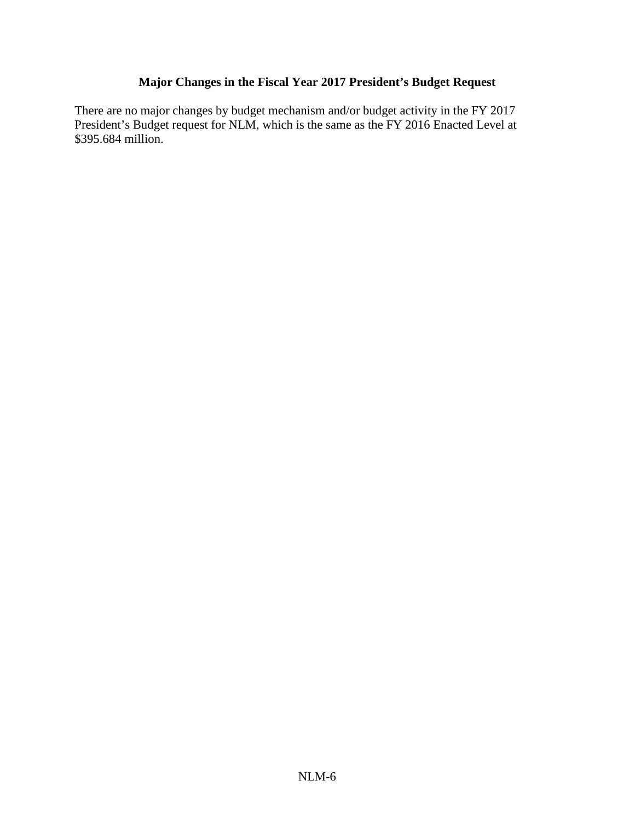# **Major Changes in the Fiscal Year 2017 President's Budget Request**

There are no major changes by budget mechanism and/or budget activity in the FY 2017 President's Budget request for NLM, which is the same as the FY 2016 Enacted Level at \$395.684 million.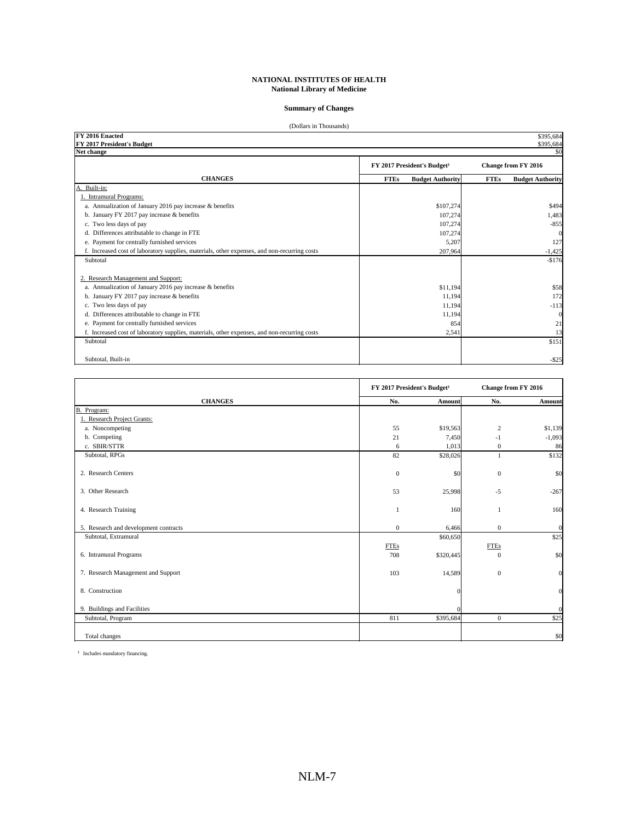#### **Summary of Changes**

| (Dollars in Thousands)                                                                       |                                         |                                        |
|----------------------------------------------------------------------------------------------|-----------------------------------------|----------------------------------------|
| FY 2016 Enacted<br>FY 2017 President's Budget                                                |                                         | \$395,684<br>\$395,684                 |
| Net change                                                                                   |                                         | \$0                                    |
|                                                                                              | FY 2017 President's Budget <sup>1</sup> | <b>Change from FY 2016</b>             |
| <b>CHANGES</b>                                                                               | <b>FTEs</b><br><b>Budget Authority</b>  | <b>FTEs</b><br><b>Budget Authority</b> |
| Built-in:<br>А                                                                               |                                         |                                        |
| 1. Intramural Programs:                                                                      |                                         |                                        |
| a. Annualization of January 2016 pay increase & benefits                                     | \$107,274                               | \$494                                  |
| b. January FY 2017 pay increase & benefits                                                   | 107,274                                 | 1,483                                  |
| c. Two less days of pay                                                                      | 107,274                                 | $-855$                                 |
| d. Differences attributable to change in FTE                                                 | 107,274                                 | $\Omega$                               |
| e. Payment for centrally furnished services                                                  | 5,207                                   | 127                                    |
| f. Increased cost of laboratory supplies, materials, other expenses, and non-recurring costs | 207,964                                 | $-1,425$                               |
| Subtotal                                                                                     |                                         | $-$176$                                |
| 2. Research Management and Support:                                                          |                                         |                                        |
| a. Annualization of January 2016 pay increase & benefits                                     | \$11,194                                | \$58                                   |
| b. January FY 2017 pay increase & benefits                                                   | 11,194                                  | 172                                    |
| c. Two less days of pay                                                                      | 11,194                                  | $-113$                                 |
| d. Differences attributable to change in FTE                                                 | 11,194                                  | $\mathbf{0}$                           |
| e. Payment for centrally furnished services                                                  | 854                                     | 21                                     |
| f. Increased cost of laboratory supplies, materials, other expenses, and non-recurring costs | 2,541                                   | 13                                     |
| Subtotal                                                                                     |                                         | \$151                                  |
| Subtotal, Built-in                                                                           |                                         | $-$ \$25                               |

|                                       | FY 2017 President's Budget <sup>1</sup> |            |                | Change from FY 2016 |
|---------------------------------------|-----------------------------------------|------------|----------------|---------------------|
| <b>CHANGES</b>                        | No.                                     | Amount     | No.            | Amount              |
| B.<br>Program:                        |                                         |            |                |                     |
| 1. Research Project Grants:           |                                         |            |                |                     |
| a. Noncompeting                       | 55                                      | \$19,563   | 2              | \$1,139             |
| b. Competing                          | 21                                      | 7,450      | $-1$           | $-1,093$            |
| c. SBIR/STTR                          | 6                                       | 1,013      | $\mathbf{0}$   | 86                  |
| Subtotal, RPGs                        | 82                                      | \$28,026   | 1              | \$132               |
| 2. Research Centers                   | $\mathbf{0}$                            | \$0        | $\mathbf{0}$   | \$0                 |
| 3. Other Research                     | 53                                      | 25,998     | $-5$           | $-267$              |
| 4. Research Training                  |                                         | 160        |                | 160                 |
| 5. Research and development contracts | $\mathbf{0}$                            | 6,466      | $\mathbf{0}$   | $\mathbf{0}$        |
| Subtotal, Extramural                  |                                         | \$60,650   |                | \$25                |
|                                       | FTEs                                    |            | <b>FTEs</b>    |                     |
| 6. Intramural Programs                | 708                                     | \$320,445  | $\Omega$       | \$0                 |
| 7. Research Management and Support    | 103                                     | 14,589     | $\mathbf{0}$   | $\mathbf{0}$        |
| 8. Construction                       |                                         | $\sqrt{ }$ |                | $\mathbf{0}$        |
| 9. Buildings and Facilities           |                                         | O          |                | $\mathbf{0}$        |
| Subtotal, Program                     | 811                                     | \$395,684  | $\overline{0}$ | \$25                |
| Total changes                         |                                         |            |                | \$0                 |

<sup>1</sup> Includes mandatory financing.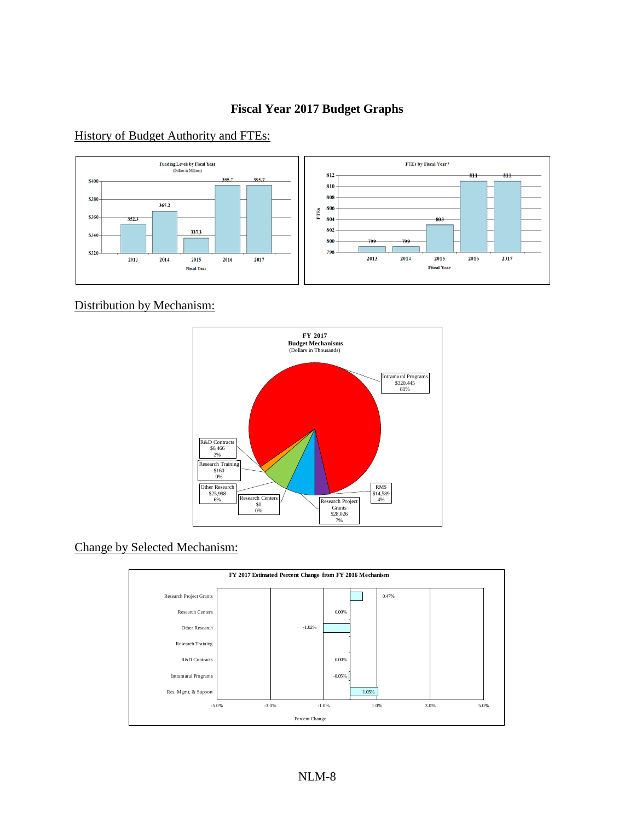# **Fiscal Year 2017 Budget Graphs**

History of Budget Authority and FTEs:



Distribution by Mechanism:



# Change by Selected Mechanism:

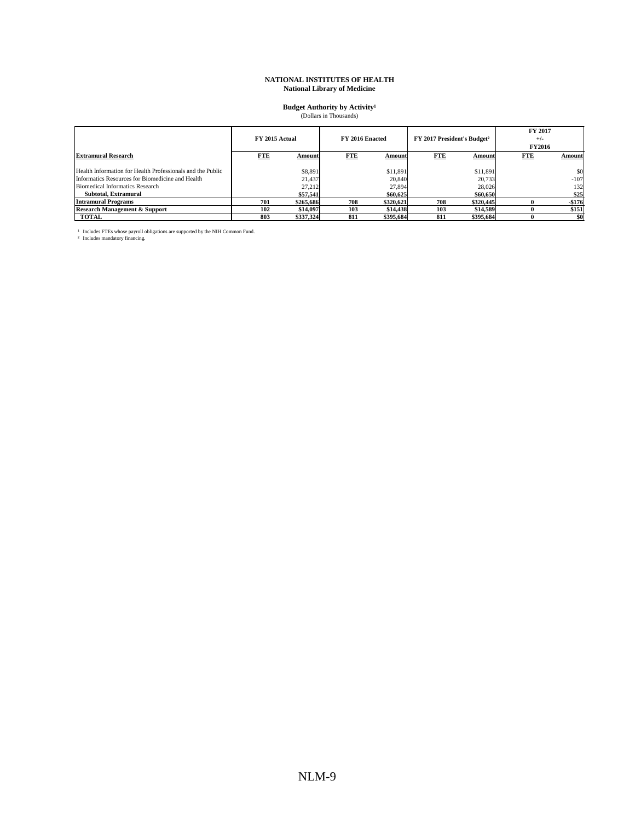# **Budget Authority by Activity<sup>1</sup>**<br>(Dollars in Thousands)

|                                                            | FY 2015 Actual |           |            | FY 2016 Enacted |            | FY 2017 President's Budget <sup>2</sup> | FY 2017<br>$+/-$<br><b>FY2016</b> |         |
|------------------------------------------------------------|----------------|-----------|------------|-----------------|------------|-----------------------------------------|-----------------------------------|---------|
| <b>Extramural Research</b>                                 | <b>FTE</b>     | Amount    | <b>FTE</b> | Amount          | <b>FTE</b> | Amount                                  | <b>FTE</b>                        | Amount  |
| Health Information for Health Professionals and the Public |                | \$8,891   |            | \$11,891        |            | \$11.891                                |                                   | \$0     |
| Informatics Resources for Biomedicine and Health           |                | 21.437    |            | 20,840          |            | 20.733                                  |                                   | $-107$  |
| Biomedical Informatics Research                            |                | 27.212    |            | 27.894          |            | 28.026                                  |                                   | 132     |
| Subtotal, Extramural                                       |                | \$57.541  |            | \$60,625        |            | \$60,650                                |                                   | \$25    |
| Intramural Programs                                        | 701            | \$265,686 | 708        | \$320,621       | 708        | \$320,445                               |                                   | $-$176$ |
| <b>Research Management &amp; Support</b>                   | 102            | \$14,097  | 103        | \$14,438        | 103        | \$14,589                                |                                   | \$151   |
| <b>TOTAL</b>                                               | 803            | \$337.324 | 811        | \$395,684       | 811        | \$395.684                               |                                   | \$0     |

<sup>1</sup> Includes FTEs whose payroll obligations are supported by the NIH Common Fund.<br><sup>2</sup> Includes mandatory financing.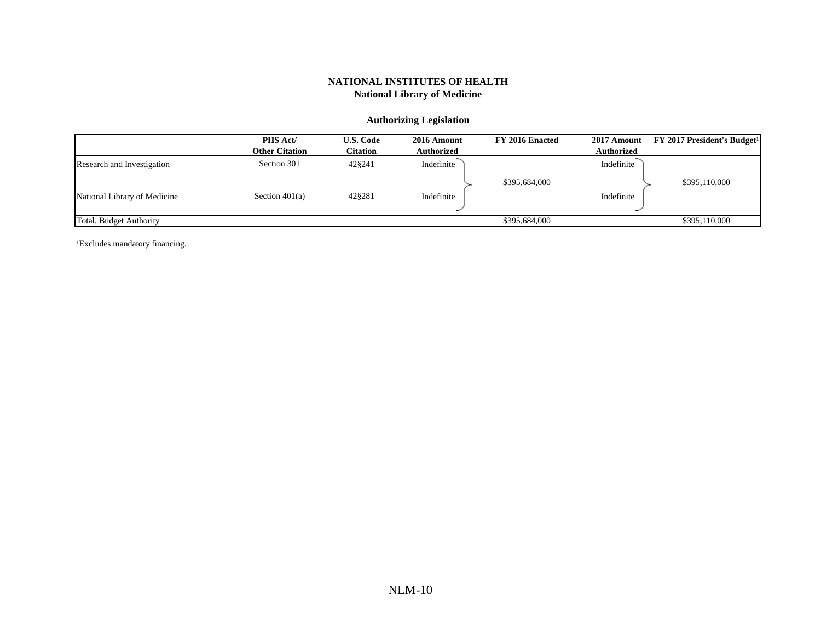#### **Authorizing Legislation**

|                              | PHS Act/<br><b>Other Citation</b> | <b>U.S. Code</b><br>Citation | 2016 Amount<br><b>Authorized</b> | FY 2016 Enacted | 2017 Amount<br><b>Authorized</b> | <b>FY 2017 President's Budget<sup>1</sup></b> |
|------------------------------|-----------------------------------|------------------------------|----------------------------------|-----------------|----------------------------------|-----------------------------------------------|
| Research and Investigation   | Section 301                       | 42§241                       | Indefinite                       |                 | Indefinite                       |                                               |
|                              |                                   |                              |                                  | \$395,684,000   |                                  | \$395,110,000                                 |
| National Library of Medicine | Section $401(a)$                  | 42§281                       | Indefinite                       |                 | Indefinite                       |                                               |
| Total, Budget Authority      |                                   |                              |                                  | \$395,684,000   |                                  | \$395,110,000                                 |

<sup>1</sup>Excludes mandatory financing.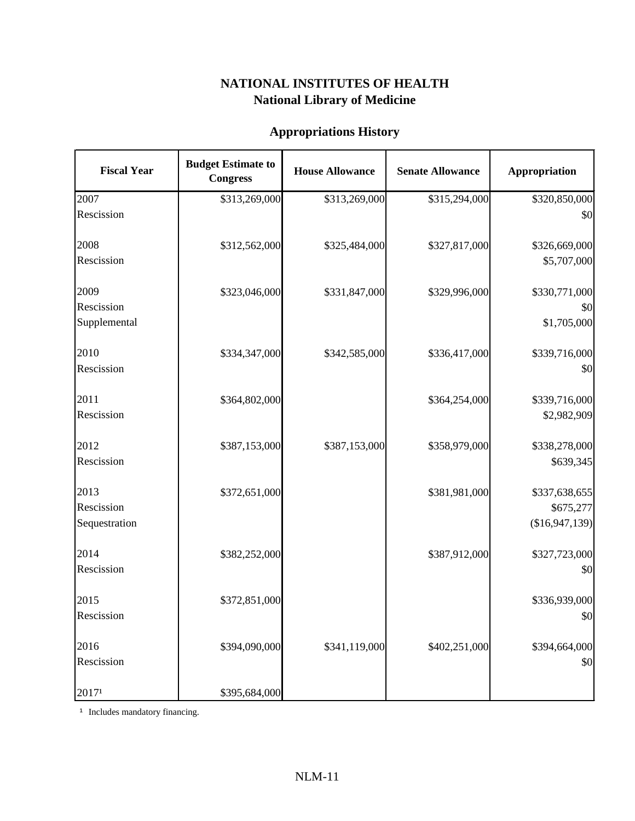# **Appropriations History**

| <b>Fiscal Year</b> | <b>Budget Estimate to</b><br><b>Congress</b> | <b>House Allowance</b> | <b>Senate Allowance</b> | Appropriation  |
|--------------------|----------------------------------------------|------------------------|-------------------------|----------------|
| 2007               | \$313,269,000                                | \$313,269,000          | \$315,294,000           | \$320,850,000  |
| Rescission         |                                              |                        |                         | \$0            |
| 2008               | \$312,562,000                                | \$325,484,000          | \$327,817,000           | \$326,669,000  |
| Rescission         |                                              |                        |                         | \$5,707,000    |
| 2009               | \$323,046,000                                | \$331,847,000          | \$329,996,000           | \$330,771,000  |
| Rescission         |                                              |                        |                         | \$0            |
| Supplemental       |                                              |                        |                         | \$1,705,000    |
| 2010               | \$334,347,000                                | \$342,585,000          | \$336,417,000           | \$339,716,000  |
| Rescission         |                                              |                        |                         | \$0            |
| 2011               | \$364,802,000                                |                        | \$364,254,000           | \$339,716,000  |
| Rescission         |                                              |                        |                         | \$2,982,909    |
| 2012               | \$387,153,000                                | \$387,153,000          | \$358,979,000           | \$338,278,000  |
| Rescission         |                                              |                        |                         | \$639,345      |
| 2013               | \$372,651,000                                |                        | \$381,981,000           | \$337,638,655  |
| Rescission         |                                              |                        |                         | \$675,277      |
| Sequestration      |                                              |                        |                         | (\$16,947,139) |
| 2014               | \$382,252,000                                |                        | \$387,912,000           | \$327,723,000  |
| Rescission         |                                              |                        |                         | \$0            |
| 2015               | \$372,851,000                                |                        |                         | \$336,939,000  |
| Rescission         |                                              |                        |                         | \$0            |
| 2016               | \$394,090,000                                | \$341,119,000          | \$402,251,000           | \$394,664,000  |
| Rescission         |                                              |                        |                         | \$0            |
| 20171              | \$395,684,000                                |                        |                         |                |

<sup>1</sup> Includes mandatory financing.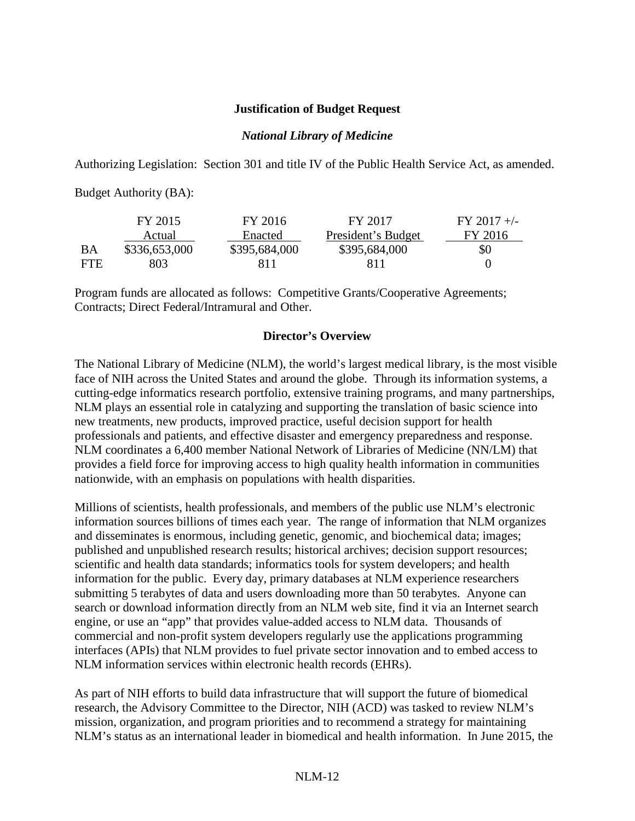#### **Justification of Budget Request**

#### *National Library of Medicine*

Authorizing Legislation: Section 301 and title IV of the Public Health Service Act, as amended.

Budget Authority (BA):

|      | FY 2015       | FY 2016       | FY 2017            | $FY$ 2017 +/- |
|------|---------------|---------------|--------------------|---------------|
|      | Actual        | Enacted       | President's Budget | FY 2016       |
| ВA   | \$336,653,000 | \$395,684,000 | \$395,684,000      | \$0           |
| FTE. | 803           | 811           | 811                |               |

Program funds are allocated as follows: Competitive Grants/Cooperative Agreements; Contracts; Direct Federal/Intramural and Other.

## **Director's Overview**

The National Library of Medicine (NLM), the world's largest medical library, is the most visible face of NIH across the United States and around the globe. Through its information systems, a cutting-edge informatics research portfolio, extensive training programs, and many partnerships, NLM plays an essential role in catalyzing and supporting the translation of basic science into new treatments, new products, improved practice, useful decision support for health professionals and patients, and effective disaster and emergency preparedness and response. NLM coordinates a 6,400 member National Network of Libraries of Medicine (NN/LM) that provides a field force for improving access to high quality health information in communities nationwide, with an emphasis on populations with health disparities.

Millions of scientists, health professionals, and members of the public use NLM's electronic information sources billions of times each year. The range of information that NLM organizes and disseminates is enormous, including genetic, genomic, and biochemical data; images; published and unpublished research results; historical archives; decision support resources; scientific and health data standards; informatics tools for system developers; and health information for the public. Every day, primary databases at NLM experience researchers submitting 5 terabytes of data and users downloading more than 50 terabytes. Anyone can search or download information directly from an NLM web site, find it via an Internet search engine, or use an "app" that provides value-added access to NLM data. Thousands of commercial and non-profit system developers regularly use the applications programming interfaces (APIs) that NLM provides to fuel private sector innovation and to embed access to NLM information services within electronic health records (EHRs).

As part of NIH efforts to build data infrastructure that will support the future of biomedical research, the Advisory Committee to the Director, NIH (ACD) was tasked to review NLM's mission, organization, and program priorities and to recommend a strategy for maintaining NLM's status as an international leader in biomedical and health information. In June 2015, the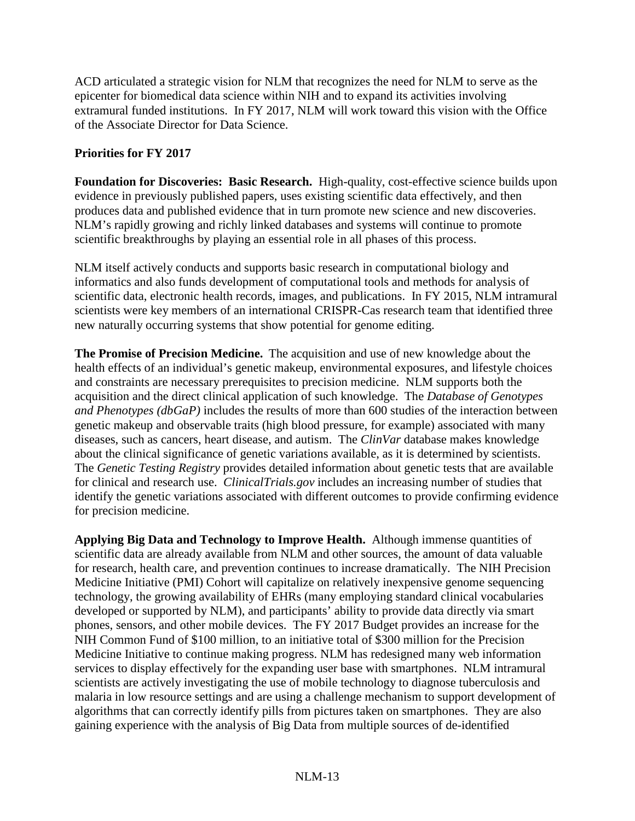ACD articulated a strategic vision for NLM that recognizes the need for NLM to serve as the epicenter for biomedical data science within NIH and to expand its activities involving extramural funded institutions. In FY 2017, NLM will work toward this vision with the Office of the Associate Director for Data Science.

## **Priorities for FY 2017**

**Foundation for Discoveries: Basic Research.** High-quality, cost-effective science builds upon evidence in previously published papers, uses existing scientific data effectively, and then produces data and published evidence that in turn promote new science and new discoveries. NLM's rapidly growing and richly linked databases and systems will continue to promote scientific breakthroughs by playing an essential role in all phases of this process.

NLM itself actively conducts and supports basic research in computational biology and informatics and also funds development of computational tools and methods for analysis of scientific data, electronic health records, images, and publications. In FY 2015, NLM intramural scientists were key members of an international CRISPR-Cas research team that identified three new naturally occurring systems that show potential for genome editing.

**The Promise of Precision Medicine.** The acquisition and use of new knowledge about the health effects of an individual's genetic makeup, environmental exposures, and lifestyle choices and constraints are necessary prerequisites to precision medicine. NLM supports both the acquisition and the direct clinical application of such knowledge. The *Database of Genotypes and Phenotypes (dbGaP)* includes the results of more than 600 studies of the interaction between genetic makeup and observable traits (high blood pressure, for example) associated with many diseases, such as cancers, heart disease, and autism. The *ClinVar* database makes knowledge about the clinical significance of genetic variations available, as it is determined by scientists. The *Genetic Testing Registry* provides detailed information about genetic tests that are available for clinical and research use. *ClinicalTrials.gov* includes an increasing number of studies that identify the genetic variations associated with different outcomes to provide confirming evidence for precision medicine.

**Applying Big Data and Technology to Improve Health.** Although immense quantities of scientific data are already available from NLM and other sources, the amount of data valuable for research, health care, and prevention continues to increase dramatically. The NIH Precision Medicine Initiative (PMI) Cohort will capitalize on relatively inexpensive genome sequencing technology, the growing availability of EHRs (many employing standard clinical vocabularies developed or supported by NLM), and participants' ability to provide data directly via smart phones, sensors, and other mobile devices. The FY 2017 Budget provides an increase for the NIH Common Fund of \$100 million, to an initiative total of \$300 million for the Precision Medicine Initiative to continue making progress. NLM has redesigned many web information services to display effectively for the expanding user base with smartphones. NLM intramural scientists are actively investigating the use of mobile technology to diagnose tuberculosis and malaria in low resource settings and are using a challenge mechanism to support development of algorithms that can correctly identify pills from pictures taken on smartphones. They are also gaining experience with the analysis of Big Data from multiple sources of de-identified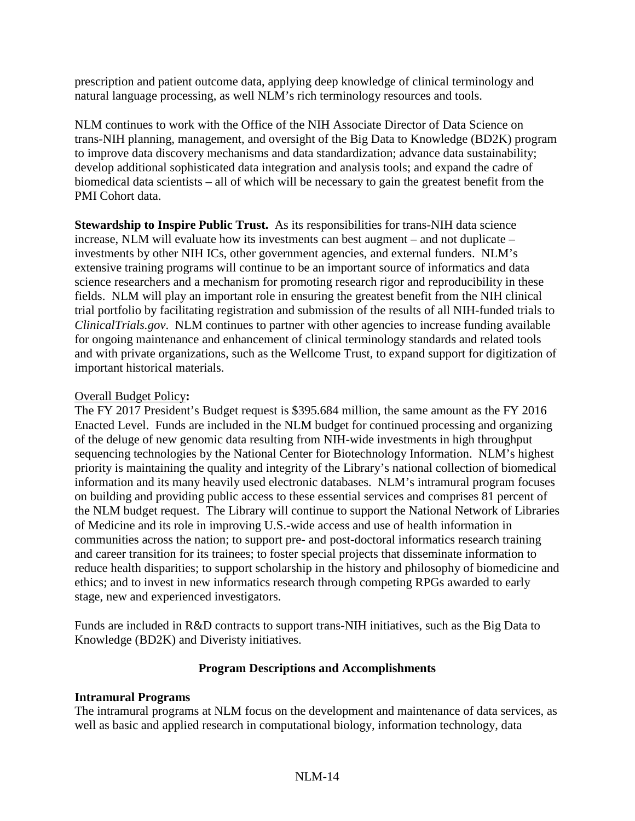prescription and patient outcome data, applying deep knowledge of clinical terminology and natural language processing, as well NLM's rich terminology resources and tools.

NLM continues to work with the Office of the NIH Associate Director of Data Science on trans-NIH planning, management, and oversight of the Big Data to Knowledge (BD2K) program to improve data discovery mechanisms and data standardization; advance data sustainability; develop additional sophisticated data integration and analysis tools; and expand the cadre of biomedical data scientists – all of which will be necessary to gain the greatest benefit from the PMI Cohort data.

**Stewardship to Inspire Public Trust.** As its responsibilities for trans-NIH data science increase, NLM will evaluate how its investments can best augment – and not duplicate – investments by other NIH ICs, other government agencies, and external funders. NLM's extensive training programs will continue to be an important source of informatics and data science researchers and a mechanism for promoting research rigor and reproducibility in these fields. NLM will play an important role in ensuring the greatest benefit from the NIH clinical trial portfolio by facilitating registration and submission of the results of all NIH-funded trials to *ClinicalTrials.gov*. NLM continues to partner with other agencies to increase funding available for ongoing maintenance and enhancement of clinical terminology standards and related tools and with private organizations, such as the Wellcome Trust, to expand support for digitization of important historical materials.

## Overall Budget Policy**:**

The FY 2017 President's Budget request is \$395.684 million, the same amount as the FY 2016 Enacted Level. Funds are included in the NLM budget for continued processing and organizing of the deluge of new genomic data resulting from NIH-wide investments in high throughput sequencing technologies by the National Center for Biotechnology Information. NLM's highest priority is maintaining the quality and integrity of the Library's national collection of biomedical information and its many heavily used electronic databases. NLM's intramural program focuses on building and providing public access to these essential services and comprises 81 percent of the NLM budget request. The Library will continue to support the National Network of Libraries of Medicine and its role in improving U.S.-wide access and use of health information in communities across the nation; to support pre- and post-doctoral informatics research training and career transition for its trainees; to foster special projects that disseminate information to reduce health disparities; to support scholarship in the history and philosophy of biomedicine and ethics; and to invest in new informatics research through competing RPGs awarded to early stage, new and experienced investigators.

Funds are included in R&D contracts to support trans-NIH initiatives, such as the Big Data to Knowledge (BD2K) and Diveristy initiatives.

## **Program Descriptions and Accomplishments**

## **Intramural Programs**

The intramural programs at NLM focus on the development and maintenance of data services, as well as basic and applied research in computational biology, information technology, data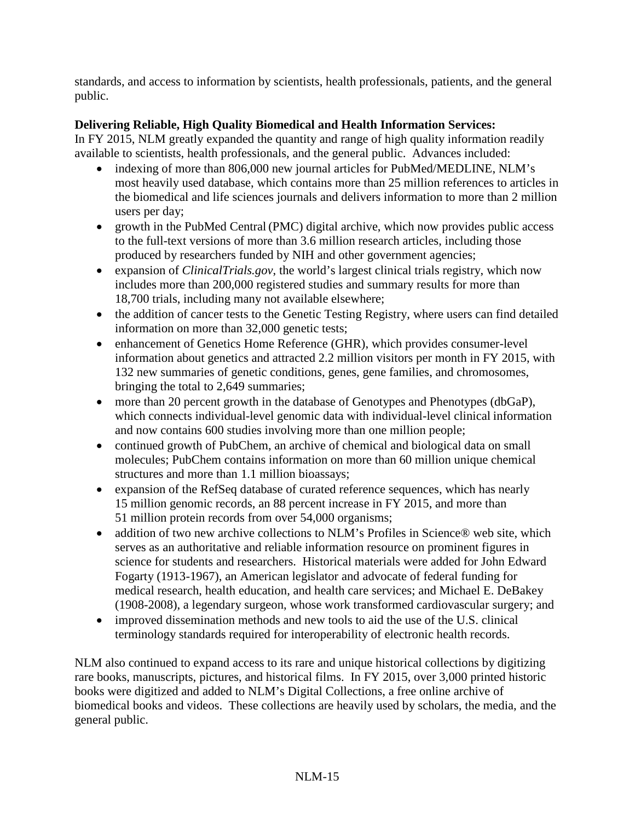standards, and access to information by scientists, health professionals, patients, and the general public.

# **Delivering Reliable, High Quality Biomedical and Health Information Services:**

In FY 2015, NLM greatly expanded the quantity and range of high quality information readily available to scientists, health professionals, and the general public. Advances included:

- indexing of more than 806,000 new journal articles for PubMed/MEDLINE, NLM's most heavily used database, which contains more than 25 million references to articles in the biomedical and life sciences journals and delivers information to more than 2 million users per day;
- growth in the PubMed Central (PMC) digital archive, which now provides public access to the full-text versions of more than 3.6 million research articles, including those produced by researchers funded by NIH and other government agencies;
- expansion of *ClinicalTrials.gov*, the world's largest clinical trials registry, which now includes more than 200,000 registered studies and summary results for more than 18,700 trials, including many not available elsewhere;
- the addition of cancer tests to the Genetic Testing Registry, where users can find detailed information on more than 32,000 genetic tests;
- enhancement of Genetics Home Reference (GHR), which provides consumer-level information about genetics and attracted 2.2 million visitors per month in FY 2015, with 132 new summaries of genetic conditions, genes, gene families, and chromosomes, bringing the total to 2,649 summaries;
- more than 20 percent growth in the database of Genotypes and Phenotypes (dbGaP), which connects individual-level genomic data with individual-level clinical information and now contains 600 studies involving more than one million people;
- continued growth of PubChem, an archive of chemical and biological data on small molecules; PubChem contains information on more than 60 million unique chemical structures and more than 1.1 million bioassays;
- expansion of the RefSeq database of curated reference sequences, which has nearly 15 million genomic records, an 88 percent increase in FY 2015, and more than 51 million protein records from over 54,000 organisms;
- addition of two new archive collections to NLM's Profiles in Science® web site, which serves as an authoritative and reliable information resource on prominent figures in science for students and researchers. Historical materials were added for John Edward Fogarty (1913-1967), an American legislator and advocate of federal funding for medical research, health education, and health care services; and Michael E. DeBakey (1908-2008), a legendary surgeon, whose work transformed cardiovascular surgery; and
- improved dissemination methods and new tools to aid the use of the U.S. clinical terminology standards required for interoperability of electronic health records.

NLM also continued to expand access to its rare and unique historical collections by digitizing rare books, manuscripts, pictures, and historical films. In FY 2015, over 3,000 printed historic books were digitized and added to NLM's [Digital Collections,](http://collections.nlm.nih.gov/) a free online archive of biomedical books and videos. These collections are heavily used by scholars, the media, and the general public.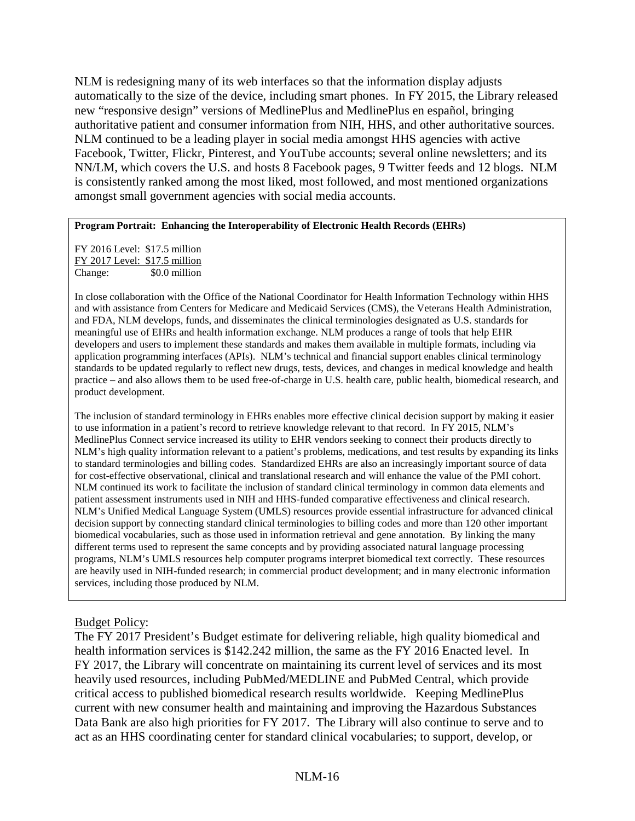NLM is redesigning many of its web interfaces so that the information display adjusts automatically to the size of the device, including smart phones. In FY 2015, the Library released new "responsive design" versions of MedlinePlus and MedlinePlus en español, bringing authoritative patient and consumer information from NIH, HHS, and other authoritative sources. NLM continued to be a leading player in social media amongst HHS agencies with active Facebook, Twitter, Flickr, Pinterest, and YouTube accounts; several online newsletters; and its NN/LM, which covers the U.S. and hosts 8 Facebook pages, 9 Twitter feeds and 12 blogs. NLM is consistently ranked among the most liked, most followed, and most mentioned organizations amongst small government agencies with social media accounts.

#### **Program Portrait: Enhancing the Interoperability of Electronic Health Records (EHRs)**

FY 2016 Level: \$17.5 million FY 2017 Level: \$17.5 million<br>Change: \$0.0 million \$0.0 million

In close collaboration with the Office of the National Coordinator for Health Information Technology within HHS and with assistance from Centers for Medicare and Medicaid Services (CMS), the Veterans Health Administration, and FDA, NLM develops, funds, and disseminates the clinical terminologies designated as U.S. standards for meaningful use of EHRs and health information exchange. NLM produces a range of tools that help EHR developers and users to implement these standards and makes them available in multiple formats, including via application programming interfaces (APIs). NLM's technical and financial support enables clinical terminology standards to be updated regularly to reflect new drugs, tests, devices, and changes in medical knowledge and health practice – and also allows them to be used free-of-charge in U.S. health care, public health, biomedical research, and product development.

The inclusion of standard terminology in EHRs enables more effective clinical decision support by making it easier to use information in a patient's record to retrieve knowledge relevant to that record. In FY 2015, NLM's MedlinePlus Connect service increased its utility to EHR vendors seeking to connect their products directly to NLM's high quality information relevant to a patient's problems, medications, and test results by expanding its links to standard terminologies and billing codes. Standardized EHRs are also an increasingly important source of data for cost-effective observational, clinical and translational research and will enhance the value of the PMI cohort. NLM continued its work to facilitate the inclusion of standard clinical terminology in common data elements and patient assessment instruments used in NIH and HHS-funded comparative effectiveness and clinical research. NLM's Unified Medical Language System (UMLS) resources provide essential infrastructure for advanced clinical decision support by connecting standard clinical terminologies to billing codes and more than 120 other important biomedical vocabularies, such as those used in information retrieval and gene annotation. By linking the many different terms used to represent the same concepts and by providing associated natural language processing programs, NLM's UMLS resources help computer programs interpret biomedical text correctly. These resources are heavily used in NIH-funded research; in commercial product development; and in many electronic information services, including those produced by NLM.

#### Budget Policy:

The FY 2017 President's Budget estimate for delivering reliable, high quality biomedical and health information services is \$142.242 million, the same as the FY 2016 Enacted level. In FY 2017, the Library will concentrate on maintaining its current level of services and its most heavily used resources, including PubMed/MEDLINE and PubMed Central, which provide critical access to published biomedical research results worldwide. Keeping MedlinePlus current with new consumer health and maintaining and improving the Hazardous Substances Data Bank are also high priorities for FY 2017. The Library will also continue to serve and to act as an HHS coordinating center for standard clinical vocabularies; to support, develop, or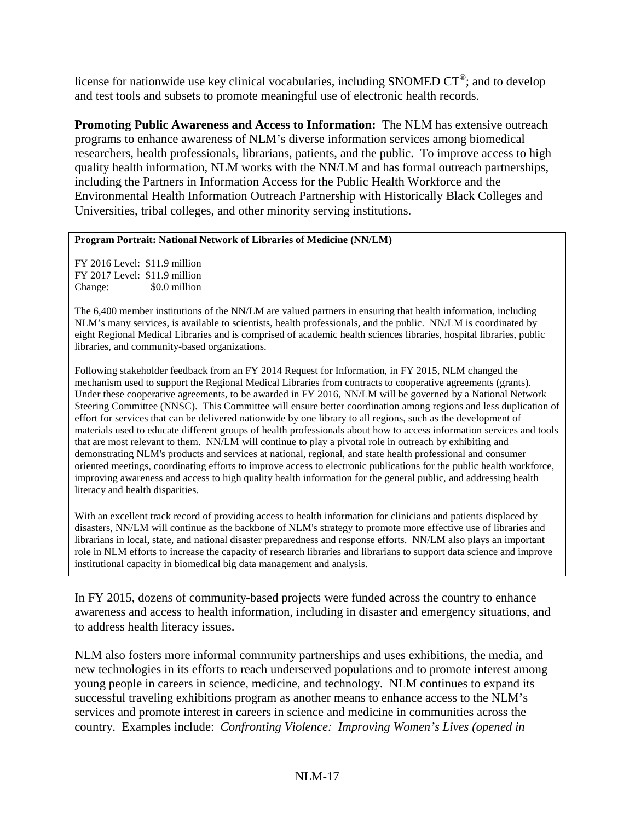license for nationwide use key clinical vocabularies, including SNOMED CT®; and to develop and test tools and subsets to promote meaningful use of electronic health records.

**Promoting Public Awareness and Access to Information:** The NLM has extensive outreach programs to enhance awareness of NLM's diverse information services among biomedical researchers, health professionals, librarians, patients, and the public. To improve access to high quality health information, NLM works with the NN/LM and has formal outreach partnerships, including the Partners in Information Access for the Public Health Workforce and the Environmental Health Information Outreach Partnership with Historically Black Colleges and Universities, tribal colleges, and other minority serving institutions.

#### **Program Portrait: National Network of Libraries of Medicine (NN/LM)**

FY 2016 Level: \$11.9 million FY 2017 Level: \$11.9 million Change: \$0.0 million

The 6,400 member institutions of the NN/LM are valued partners in ensuring that health information, including NLM's many services, is available to scientists, health professionals, and the public. NN/LM is coordinated by eight Regional Medical Libraries and is comprised of academic health sciences libraries, hospital libraries, public libraries, and community-based organizations.

Following stakeholder feedback from an FY 2014 Request for Information, in FY 2015, NLM changed the mechanism used to support the Regional Medical Libraries from contracts to cooperative agreements (grants). Under these cooperative agreements, to be awarded in FY 2016, NN/LM will be governed by a National Network Steering Committee (NNSC). This Committee will ensure better coordination among regions and less duplication of effort for services that can be delivered nationwide by one library to all regions, such as the development of materials used to educate different groups of health professionals about how to access information services and tools that are most relevant to them. NN/LM will continue to play a pivotal role in outreach by exhibiting and demonstrating NLM's products and services at national, regional, and state health professional and consumer oriented meetings, coordinating efforts to improve access to electronic publications for the public health workforce, improving awareness and access to high quality health information for the general public, and addressing health literacy and health disparities.

With an excellent track record of providing access to health information for clinicians and patients displaced by disasters, NN/LM will continue as the backbone of NLM's strategy to promote more effective use of libraries and librarians in local, state, and national disaster preparedness and response efforts. NN/LM also plays an important role in NLM efforts to increase the capacity of research libraries and librarians to support data science and improve institutional capacity in biomedical big data management and analysis.

In FY 2015, dozens of community-based projects were funded across the country to enhance awareness and access to health information, including in disaster and emergency situations, and to address health literacy issues.

NLM also fosters more informal community partnerships and uses exhibitions, the media, and new technologies in its efforts to reach underserved populations and to promote interest among young people in careers in science, medicine, and technology. NLM continues to expand its successful traveling exhibitions program as another means to enhance access to the NLM's services and promote interest in careers in science and medicine in communities across the country. Examples include: *Confronting Violence: Improving Women's Lives (opened in*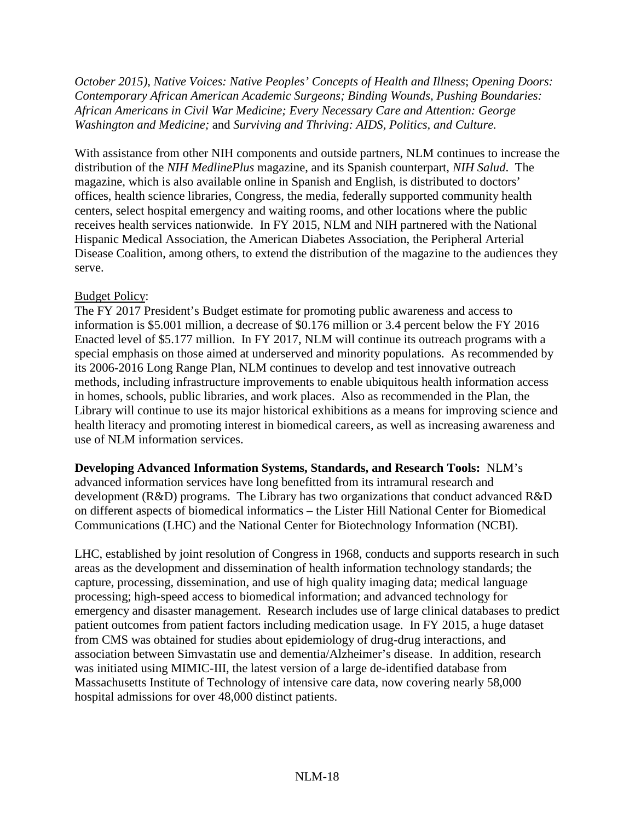*October 2015), Native Voices: Native Peoples' Concepts of Health and Illness*; *Opening Doors: Contemporary African American Academic Surgeons; Binding Wounds, Pushing Boundaries: African Americans in Civil War Medicine; Every Necessary Care and Attention: George Washington and Medicine;* and *Surviving and Thriving: AIDS, Politics, and Culture.*

With assistance from other NIH components and outside partners, NLM continues to increase the distribution of the *NIH MedlinePlus* magazine, and its Spanish counterpart, *NIH Salud*. The magazine, which is also available online in Spanish and English, is distributed to doctors' offices, health science libraries, Congress, the media, federally supported community health centers, select hospital emergency and waiting rooms, and other locations where the public receives health services nationwide. In FY 2015, NLM and NIH partnered with the National Hispanic Medical Association, the American Diabetes Association, the Peripheral Arterial Disease Coalition, among others, to extend the distribution of the magazine to the audiences they serve.

## Budget Policy:

The FY 2017 President's Budget estimate for promoting public awareness and access to information is \$5.001 million, a decrease of \$0.176 million or 3.4 percent below the FY 2016 Enacted level of \$5.177 million. In FY 2017, NLM will continue its outreach programs with a special emphasis on those aimed at underserved and minority populations. As recommended by its 2006-2016 Long Range Plan, NLM continues to develop and test innovative outreach methods, including infrastructure improvements to enable ubiquitous health information access in homes, schools, public libraries, and work places. Also as recommended in the Plan, the Library will continue to use its major historical exhibitions as a means for improving science and health literacy and promoting interest in biomedical careers, as well as increasing awareness and use of NLM information services.

## **Developing Advanced Information Systems, Standards, and Research Tools:** NLM's

advanced information services have long benefitted from its intramural research and development (R&D) programs. The Library has two organizations that conduct advanced R&D on different aspects of biomedical informatics – the Lister Hill National Center for Biomedical Communications (LHC) and the National Center for Biotechnology Information (NCBI).

LHC, established by joint resolution of Congress in 1968, conducts and supports research in such areas as the development and dissemination of health information technology standards; the capture, processing, dissemination, and use of high quality imaging data; medical language processing; high-speed access to biomedical information; and advanced technology for emergency and disaster management. Research includes use of large clinical databases to predict patient outcomes from patient factors including medication usage. In FY 2015, a huge dataset from CMS was obtained for studies about epidemiology of drug-drug interactions, and association between Simvastatin use and dementia/Alzheimer's disease. In addition, research was initiated using MIMIC-III, the latest version of a large de-identified database from Massachusetts Institute of Technology of intensive care data, now covering nearly 58,000 hospital admissions for over 48,000 distinct patients.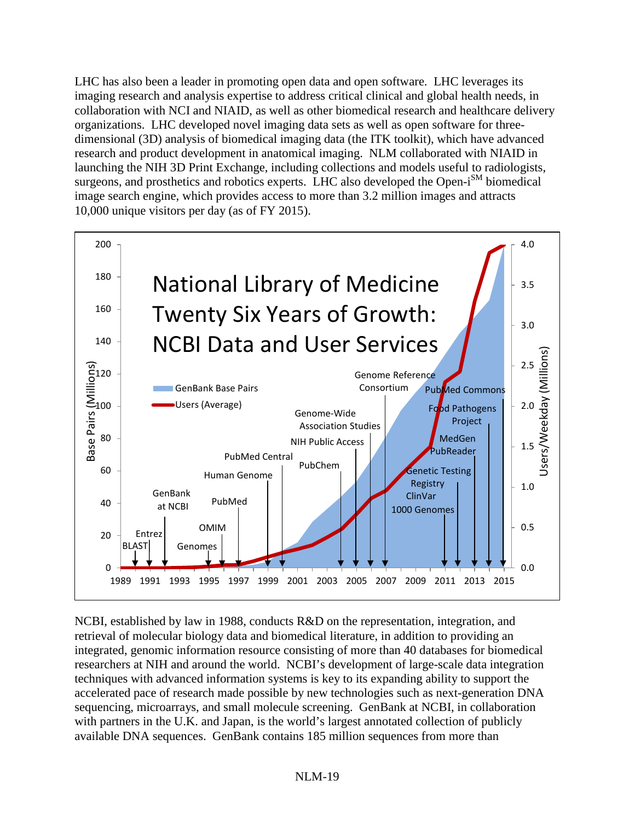LHC has also been a leader in promoting open data and open software. LHC leverages its imaging research and analysis expertise to address critical clinical and global health needs, in collaboration with NCI and NIAID, as well as other biomedical research and healthcare delivery organizations. LHC developed novel imaging data sets as well as open software for threedimensional (3D) analysis of biomedical imaging data (the ITK toolkit), which have advanced research and product development in anatomical imaging. NLM collaborated with NIAID in launching the NIH 3D Print Exchange, including collections and models useful to radiologists, surgeons, and prosthetics and robotics experts. LHC also developed the Open-i<sup>SM</sup> biomedical image search engine, which provides access to more than 3.2 million images and attracts 10,000 unique visitors per day (as of FY 2015).



NCBI, established by law in 1988, conducts R&D on the representation, integration, and retrieval of molecular biology data and biomedical literature, in addition to providing an integrated, genomic information resource consisting of more than 40 databases for biomedical researchers at NIH and around the world. NCBI's development of large-scale data integration techniques with advanced information systems is key to its expanding ability to support the accelerated pace of research made possible by new technologies such as next-generation DNA sequencing, microarrays, and small molecule screening. GenBank at NCBI, in collaboration with partners in the U.K. and Japan, is the world's largest annotated collection of publicly available DNA sequences. GenBank contains 185 million sequences from more than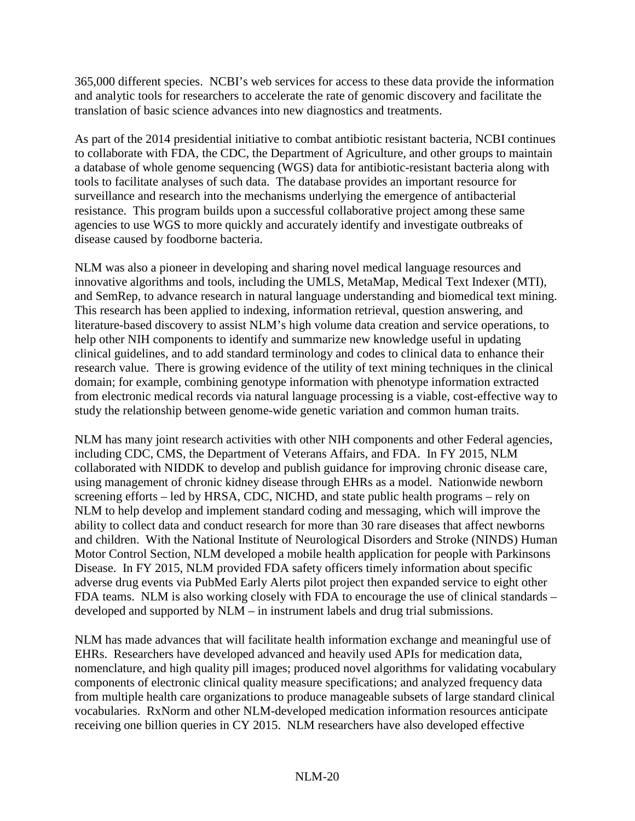365,000 different species. NCBI's web services for access to these data provide the information and analytic tools for researchers to accelerate the rate of genomic discovery and facilitate the translation of basic science advances into new diagnostics and treatments.

As part of the 2014 presidential initiative to combat antibiotic resistant bacteria, NCBI continues to collaborate with FDA, the CDC, the Department of Agriculture, and other groups to maintain a database of whole genome sequencing (WGS) data for antibiotic-resistant bacteria along with tools to facilitate analyses of such data. The database provides an important resource for surveillance and research into the mechanisms underlying the emergence of antibacterial resistance. This program builds upon a successful collaborative project among these same agencies to use WGS to more quickly and accurately identify and investigate outbreaks of disease caused by foodborne bacteria.

NLM was also a pioneer in developing and sharing novel medical language resources and innovative algorithms and tools, including the UMLS, MetaMap, Medical Text Indexer (MTI), and SemRep, to advance research in natural language understanding and biomedical text mining. This research has been applied to indexing, information retrieval, question answering, and literature-based discovery to assist NLM's high volume data creation and service operations, to help other NIH components to identify and summarize new knowledge useful in updating clinical guidelines, and to add standard terminology and codes to clinical data to enhance their research value. There is growing evidence of the utility of text mining techniques in the clinical domain; for example, combining genotype information with phenotype information extracted from electronic medical records via natural language processing is a viable, cost-effective way to study the relationship between genome-wide genetic variation and common human traits.

NLM has many joint research activities with other NIH components and other Federal agencies, including CDC, CMS, the Department of Veterans Affairs, and FDA. In FY 2015, NLM collaborated with NIDDK to develop and publish guidance for improving chronic disease care, using management of chronic kidney disease through EHRs as a model. Nationwide newborn screening efforts – led by HRSA, CDC, NICHD, and state public health programs – rely on NLM to help develop and implement standard coding and messaging, which will improve the ability to collect data and conduct research for more than 30 rare diseases that affect newborns and children. With the National Institute of Neurological Disorders and Stroke (NINDS) Human Motor Control Section, NLM developed a mobile health application for people with Parkinsons Disease. In FY 2015, NLM provided FDA safety officers timely information about specific adverse drug events via PubMed Early Alerts pilot project then expanded service to eight other FDA teams. NLM is also working closely with FDA to encourage the use of clinical standards – developed and supported by NLM – in instrument labels and drug trial submissions.

NLM has made advances that will facilitate health information exchange and meaningful use of EHRs. Researchers have developed advanced and heavily used APIs for medication data, nomenclature, and high quality pill images; produced novel algorithms for validating vocabulary components of electronic clinical quality measure specifications; and analyzed frequency data from multiple health care organizations to produce manageable subsets of large standard clinical vocabularies. RxNorm and other NLM-developed medication information resources anticipate receiving one billion queries in CY 2015. NLM researchers have also developed effective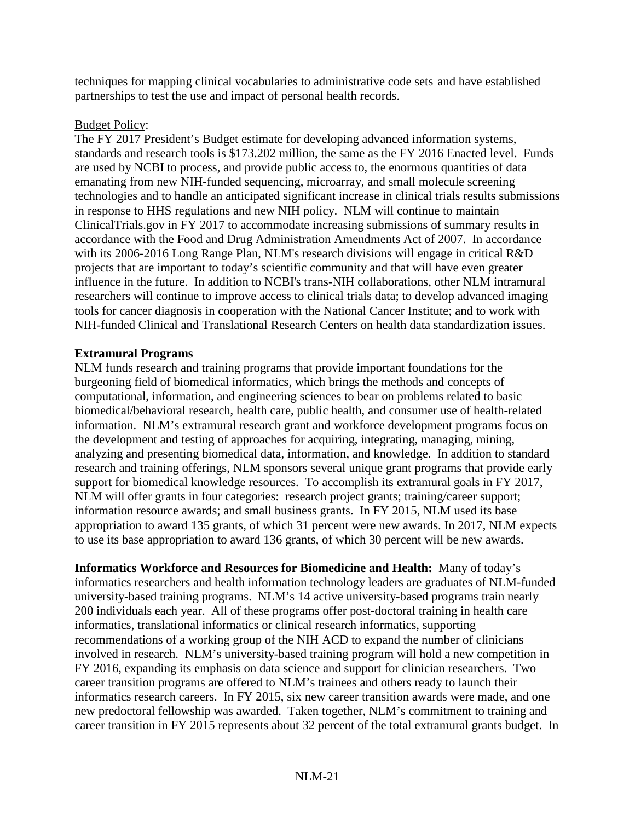techniques for mapping clinical vocabularies to administrative code sets and have established partnerships to test the use and impact of personal health records.

#### Budget Policy:

The FY 2017 President's Budget estimate for developing advanced information systems, standards and research tools is \$173.202 million, the same as the FY 2016 Enacted level. Funds are used by NCBI to process, and provide public access to, the enormous quantities of data emanating from new NIH-funded sequencing, microarray, and small molecule screening technologies and to handle an anticipated significant increase in clinical trials results submissions in response to HHS regulations and new NIH policy. NLM will continue to maintain ClinicalTrials.gov in FY 2017 to accommodate increasing submissions of summary results in accordance with the Food and Drug Administration Amendments Act of 2007. In accordance with its 2006-2016 Long Range Plan, NLM's research divisions will engage in critical R&D projects that are important to today's scientific community and that will have even greater influence in the future. In addition to NCBI's trans-NIH collaborations, other NLM intramural researchers will continue to improve access to clinical trials data; to develop advanced imaging tools for cancer diagnosis in cooperation with the National Cancer Institute; and to work with NIH-funded Clinical and Translational Research Centers on health data standardization issues.

## **Extramural Programs**

NLM funds research and training programs that provide important foundations for the burgeoning field of biomedical informatics, which brings the methods and concepts of computational, information, and engineering sciences to bear on problems related to basic biomedical/behavioral research, health care, public health, and consumer use of health-related information. NLM's extramural research grant and workforce development programs focus on the development and testing of approaches for acquiring, integrating, managing, mining, analyzing and presenting biomedical data, information, and knowledge. In addition to standard research and training offerings, NLM sponsors several unique grant programs that provide early support for biomedical knowledge resources. To accomplish its extramural goals in FY 2017, NLM will offer grants in four categories: research project grants; training/career support; information resource awards; and small business grants. In FY 2015, NLM used its base appropriation to award 135 grants, of which 31 percent were new awards. In 2017, NLM expects to use its base appropriation to award 136 grants, of which 30 percent will be new awards.

**Informatics Workforce and Resources for Biomedicine and Health:** Many of today's informatics researchers and health information technology leaders are graduates of NLM-funded university-based training programs. NLM's 14 active university-based programs train nearly 200 individuals each year. All of these programs offer post-doctoral training in health care informatics, translational informatics or clinical research informatics, supporting recommendations of a working group of the NIH ACD to expand the number of clinicians involved in research. NLM's university-based training program will hold a new competition in FY 2016, expanding its emphasis on data science and support for clinician researchers. Two career transition programs are offered to NLM's trainees and others ready to launch their informatics research careers. In FY 2015, six new career transition awards were made, and one new predoctoral fellowship was awarded. Taken together, NLM's commitment to training and career transition in FY 2015 represents about 32 percent of the total extramural grants budget. In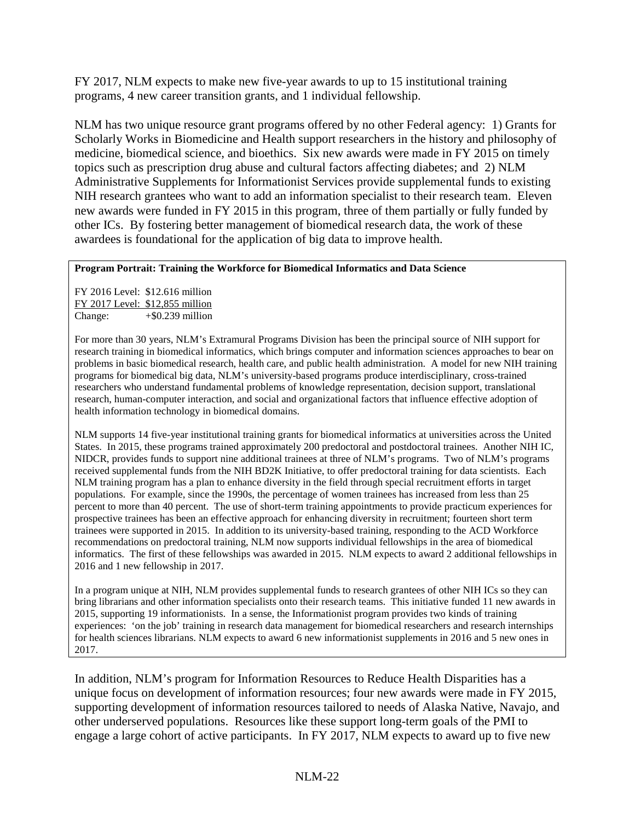FY 2017, NLM expects to make new five-year awards to up to 15 institutional training programs, 4 new career transition grants, and 1 individual fellowship.

NLM has two unique resource grant programs offered by no other Federal agency: 1) Grants for Scholarly Works in Biomedicine and Health support researchers in the history and philosophy of medicine, biomedical science, and bioethics. Six new awards were made in FY 2015 on timely topics such as prescription drug abuse and cultural factors affecting diabetes; and 2) NLM Administrative Supplements for Informationist Services provide supplemental funds to existing NIH research grantees who want to add an information specialist to their research team. Eleven new awards were funded in FY 2015 in this program, three of them partially or fully funded by other ICs. By fostering better management of biomedical research data, the work of these awardees is foundational for the application of big data to improve health.

#### **Program Portrait: Training the Workforce for Biomedical Informatics and Data Science**

FY 2016 Level: \$12.616 million FY 2017 Level: \$12,855 million Change:  $+$ \$0.239 million

For more than 30 years, NLM's Extramural Programs Division has been the principal source of NIH support for research training in biomedical informatics, which brings computer and information sciences approaches to bear on problems in basic biomedical research, health care, and public health administration. A model for new NIH training programs for biomedical big data, NLM's university-based programs produce interdisciplinary, cross-trained researchers who understand fundamental problems of knowledge representation, decision support, translational research, human-computer interaction, and social and organizational factors that influence effective adoption of health information technology in biomedical domains.

NLM supports 14 five-year institutional training grants for biomedical informatics at universities across the United States. In 2015, these programs trained approximately 200 predoctoral and postdoctoral trainees. Another NIH IC, NIDCR, provides funds to support nine additional trainees at three of NLM's programs. Two of NLM's programs received supplemental funds from the NIH BD2K Initiative, to offer predoctoral training for data scientists. Each NLM training program has a plan to enhance diversity in the field through special recruitment efforts in target populations. For example, since the 1990s, the percentage of women trainees has increased from less than 25 percent to more than 40 percent. The use of short-term training appointments to provide practicum experiences for prospective trainees has been an effective approach for enhancing diversity in recruitment; fourteen short term trainees were supported in 2015. In addition to its university-based training, responding to the ACD Workforce recommendations on predoctoral training, NLM now supports individual fellowships in the area of biomedical informatics. The first of these fellowships was awarded in 2015. NLM expects to award 2 additional fellowships in 2016 and 1 new fellowship in 2017.

In a program unique at NIH, NLM provides supplemental funds to research grantees of other NIH ICs so they can bring librarians and other information specialists onto their research teams. This initiative funded 11 new awards in 2015, supporting 19 informationists. In a sense, the Informationist program provides two kinds of training experiences: 'on the job' training in research data management for biomedical researchers and research internships for health sciences librarians. NLM expects to award 6 new informationist supplements in 2016 and 5 new ones in 2017.

In addition, NLM's program for Information Resources to Reduce Health Disparities has a unique focus on development of information resources; four new awards were made in FY 2015, supporting development of information resources tailored to needs of Alaska Native, Navajo, and other underserved populations. Resources like these support long-term goals of the PMI to engage a large cohort of active participants. In FY 2017, NLM expects to award up to five new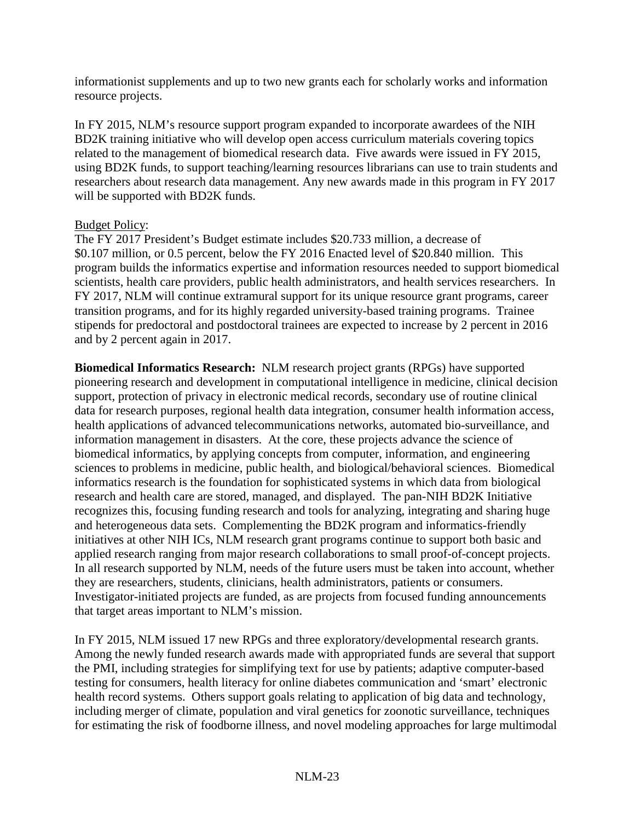informationist supplements and up to two new grants each for scholarly works and information resource projects.

In FY 2015, NLM's resource support program expanded to incorporate awardees of the NIH BD2K training initiative who will develop open access curriculum materials covering topics related to the management of biomedical research data. Five awards were issued in FY 2015, using BD2K funds, to support teaching/learning resources librarians can use to train students and researchers about research data management. Any new awards made in this program in FY 2017 will be supported with BD2K funds.

#### Budget Policy:

The FY 2017 President's Budget estimate includes \$20.733 million, a decrease of \$0.107 million, or 0.5 percent, below the FY 2016 Enacted level of \$20.840 million. This program builds the informatics expertise and information resources needed to support biomedical scientists, health care providers, public health administrators, and health services researchers. In FY 2017, NLM will continue extramural support for its unique resource grant programs, career transition programs, and for its highly regarded university-based training programs. Trainee stipends for predoctoral and postdoctoral trainees are expected to increase by 2 percent in 2016 and by 2 percent again in 2017.

**Biomedical Informatics Research:** NLM research project grants (RPGs) have supported pioneering research and development in computational intelligence in medicine, clinical decision support, protection of privacy in electronic medical records, secondary use of routine clinical data for research purposes, regional health data integration, consumer health information access, health applications of advanced telecommunications networks, automated bio-surveillance, and information management in disasters. At the core, these projects advance the science of biomedical informatics, by applying concepts from computer, information, and engineering sciences to problems in medicine, public health, and biological/behavioral sciences. Biomedical informatics research is the foundation for sophisticated systems in which data from biological research and health care are stored, managed, and displayed. The pan-NIH BD2K Initiative recognizes this, focusing funding research and tools for analyzing, integrating and sharing huge and heterogeneous data sets. Complementing the BD2K program and informatics-friendly initiatives at other NIH ICs, NLM research grant programs continue to support both basic and applied research ranging from major research collaborations to small proof-of-concept projects. In all research supported by NLM, needs of the future users must be taken into account, whether they are researchers, students, clinicians, health administrators, patients or consumers. Investigator-initiated projects are funded, as are projects from focused funding announcements that target areas important to NLM's mission.

In FY 2015, NLM issued 17 new RPGs and three exploratory/developmental research grants. Among the newly funded research awards made with appropriated funds are several that support the PMI, including strategies for simplifying text for use by patients; adaptive computer-based testing for consumers, health literacy for online diabetes communication and 'smart' electronic health record systems. Others support goals relating to application of big data and technology, including merger of climate, population and viral genetics for zoonotic surveillance, techniques for estimating the risk of foodborne illness, and novel modeling approaches for large multimodal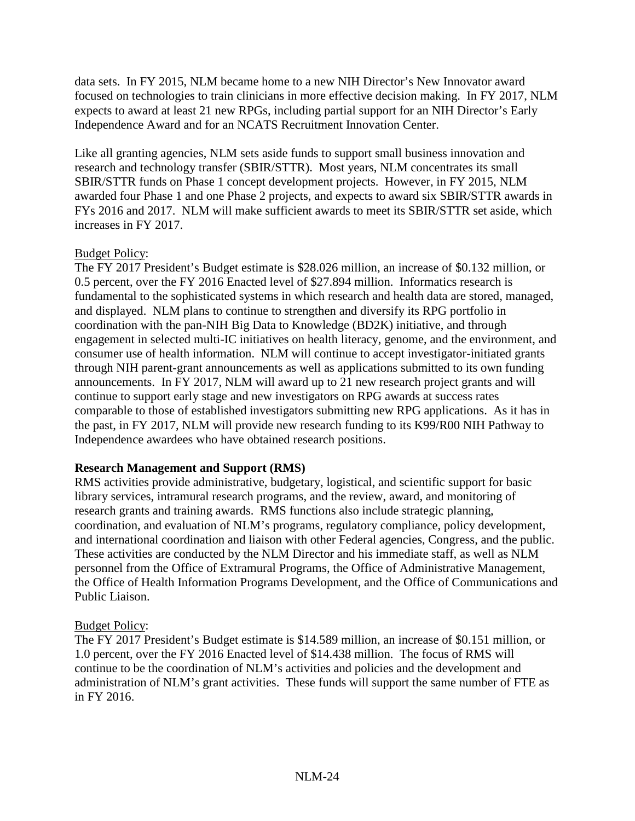data sets. In FY 2015, NLM became home to a new NIH Director's New Innovator award focused on technologies to train clinicians in more effective decision making. In FY 2017, NLM expects to award at least 21 new RPGs, including partial support for an NIH Director's Early Independence Award and for an NCATS Recruitment Innovation Center.

Like all granting agencies, NLM sets aside funds to support small business innovation and research and technology transfer (SBIR/STTR). Most years, NLM concentrates its small SBIR/STTR funds on Phase 1 concept development projects. However, in FY 2015, NLM awarded four Phase 1 and one Phase 2 projects, and expects to award six SBIR/STTR awards in FYs 2016 and 2017. NLM will make sufficient awards to meet its SBIR/STTR set aside, which increases in FY 2017.

## Budget Policy:

The FY 2017 President's Budget estimate is \$28.026 million, an increase of \$0.132 million, or 0.5 percent, over the FY 2016 Enacted level of \$27.894 million. Informatics research is fundamental to the sophisticated systems in which research and health data are stored, managed, and displayed. NLM plans to continue to strengthen and diversify its RPG portfolio in coordination with the pan-NIH Big Data to Knowledge (BD2K) initiative, and through engagement in selected multi-IC initiatives on health literacy, genome, and the environment, and consumer use of health information. NLM will continue to accept investigator-initiated grants through NIH parent-grant announcements as well as applications submitted to its own funding announcements. In FY 2017, NLM will award up to 21 new research project grants and will continue to support early stage and new investigators on RPG awards at success rates comparable to those of established investigators submitting new RPG applications. As it has in the past, in FY 2017, NLM will provide new research funding to its K99/R00 NIH Pathway to Independence awardees who have obtained research positions.

## **Research Management and Support (RMS)**

RMS activities provide administrative, budgetary, logistical, and scientific support for basic library services, intramural research programs, and the review, award, and monitoring of research grants and training awards. RMS functions also include strategic planning, coordination, and evaluation of NLM's programs, regulatory compliance, policy development, and international coordination and liaison with other Federal agencies, Congress, and the public. These activities are conducted by the NLM Director and his immediate staff, as well as NLM personnel from the Office of Extramural Programs, the Office of Administrative Management, the Office of Health Information Programs Development, and the Office of Communications and Public Liaison.

## Budget Policy:

The FY 2017 President's Budget estimate is \$14.589 million, an increase of \$0.151 million, or 1.0 percent, over the FY 2016 Enacted level of \$14.438 million. The focus of RMS will continue to be the coordination of NLM's activities and policies and the development and administration of NLM's grant activities. These funds will support the same number of FTE as in FY 2016.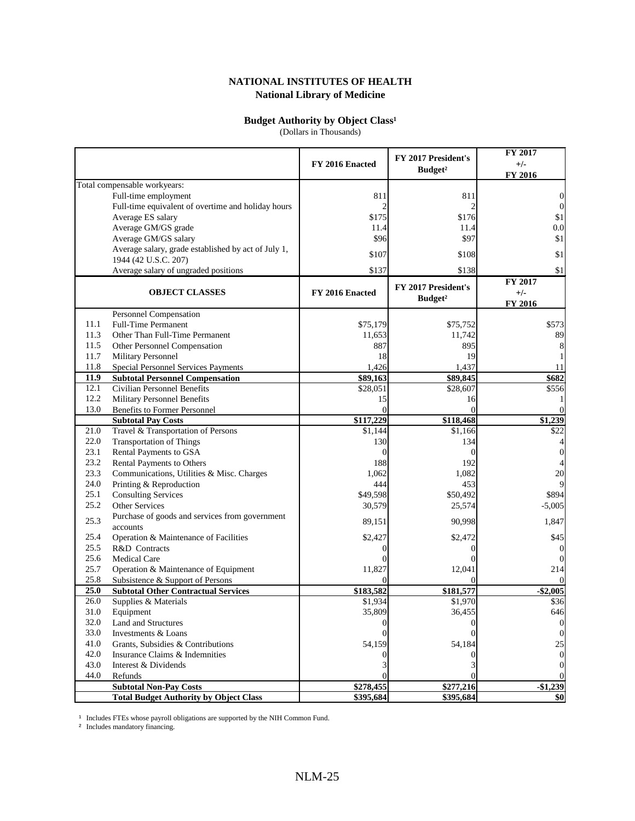#### **Budget Authority by Object Class<sup>1</sup>**

(Dollars in Thousands)

|              |                                                     | FY 2016 Enacted | FY 2017 President's<br>Budget <sup>2</sup> | FY 2017<br>$+/-$<br>FY 2016 |
|--------------|-----------------------------------------------------|-----------------|--------------------------------------------|-----------------------------|
|              | Total compensable workyears:                        |                 |                                            |                             |
|              | Full-time employment                                | 811             | 811                                        | $\overline{0}$              |
|              | Full-time equivalent of overtime and holiday hours  | $\overline{c}$  | $\mathfrak{D}$                             | $\boldsymbol{0}$            |
|              | Average ES salary                                   | \$175           | \$176                                      | \$1                         |
|              | Average GM/GS grade                                 | 11.4            | 11.4                                       | 0.0                         |
|              | Average GM/GS salary                                | \$96            | \$97                                       | \$1                         |
|              | Average salary, grade established by act of July 1, |                 |                                            |                             |
|              | 1944 (42 U.S.C. 207)                                | \$107           | \$108                                      | \$1                         |
|              | Average salary of ungraded positions                | \$137           | \$138                                      | \$1                         |
|              |                                                     |                 | FY 2017 President's                        | FY 2017                     |
|              | <b>OBJECT CLASSES</b>                               | FY 2016 Enacted | Budget <sup>2</sup>                        | $+/-$                       |
|              |                                                     |                 |                                            | FY 2016                     |
|              | Personnel Compensation                              |                 |                                            |                             |
| 11.1         | <b>Full-Time Permanent</b>                          | \$75,179        | \$75,752                                   | \$573                       |
| 11.3         | Other Than Full-Time Permanent                      | 11,653          | 11,742                                     | 89                          |
| 11.5         | Other Personnel Compensation                        | 887             | 895                                        | 8                           |
| 11.7         | Military Personnel                                  | 18              | 19                                         |                             |
| 11.8         | <b>Special Personnel Services Payments</b>          | 1,426           | 1,437                                      | 11                          |
| 11.9         | <b>Subtotal Personnel Compensation</b>              | \$89,163        | \$89,845                                   | \$682                       |
| 12.1         | <b>Civilian Personnel Benefits</b>                  | \$28,051        | \$28,607                                   | \$556                       |
| 12.2         | <b>Military Personnel Benefits</b>                  | 15              | 16                                         |                             |
| 13.0         | <b>Benefits to Former Personnel</b>                 | $\Omega$        | $\Omega$                                   | $\theta$                    |
|              | <b>Subtotal Pay Costs</b>                           | \$117,229       | \$118,468                                  | \$1,239                     |
| 21.0         | Travel & Transportation of Persons                  | \$1,144         | \$1,166                                    | $\overline{$22}$            |
| 22.0         | <b>Transportation of Things</b>                     | 130             | 134                                        | 4                           |
| 23.1         | Rental Payments to GSA                              | $\Omega$        | $\Omega$                                   | $\overline{0}$              |
| 23.2         | Rental Payments to Others                           | 188             | 192                                        | 4                           |
| 23.3<br>24.0 | Communications, Utilities & Misc. Charges           | 1,062           | 1,082                                      | 20<br>9                     |
| 25.1         | Printing & Reproduction                             | 444<br>\$49,598 | 453                                        | \$894                       |
| 25.2         | <b>Consulting Services</b><br><b>Other Services</b> | 30,579          | \$50,492<br>25,574                         | $-5,005$                    |
|              | Purchase of goods and services from government      |                 |                                            |                             |
| 25.3         | accounts                                            | 89,151          | 90,998                                     | 1,847                       |
| 25.4         | Operation & Maintenance of Facilities               | \$2,427         | \$2,472                                    | \$45                        |
| 25.5         | R&D Contracts                                       | 0               | $\Omega$                                   | $\vert 0 \vert$             |
| 25.6         | <b>Medical Care</b>                                 |                 |                                            | $\overline{0}$              |
| 25.7         | Operation & Maintenance of Equipment                | 11,827          | 12,041                                     | 214                         |
| 25.8         | Subsistence & Support of Persons                    | $\Omega$        | $\Omega$                                   | $\Omega$                    |
| 25.0         | <b>Subtotal Other Contractual Services</b>          | \$183,582       | \$181,577                                  | $-$ \$2,005                 |
| 26.0         | Supplies & Materials                                | \$1,934         | \$1,970                                    | \$36                        |
| 31.0         | Equipment                                           | 35,809          | 36,455                                     | 646                         |
| 32.0         | Land and Structures                                 |                 |                                            | $\vert$                     |
| 33.0         | Investments & Loans                                 |                 |                                            | $\overline{0}$              |
| 41.0         | Grants, Subsidies & Contributions                   | 54,159          | 54,184                                     | 25                          |
| 42.0         | Insurance Claims & Indemnities                      |                 |                                            | $\overline{0}$              |
| 43.0         | Interest & Dividends                                |                 |                                            | $\overline{0}$              |
| 44.0         | Refunds                                             | 0               |                                            | $\Omega$                    |
|              | <b>Subtotal Non-Pay Costs</b>                       | \$278,455       | \$277,216                                  | $-$1,239$                   |
|              | <b>Total Budget Authority by Object Class</b>       | \$395,684       | \$395,684                                  | \$0                         |

1 Includes FTEs whose payroll obligations are supported by the NIH Common Fund.

<sup>2</sup> Includes mandatory financing.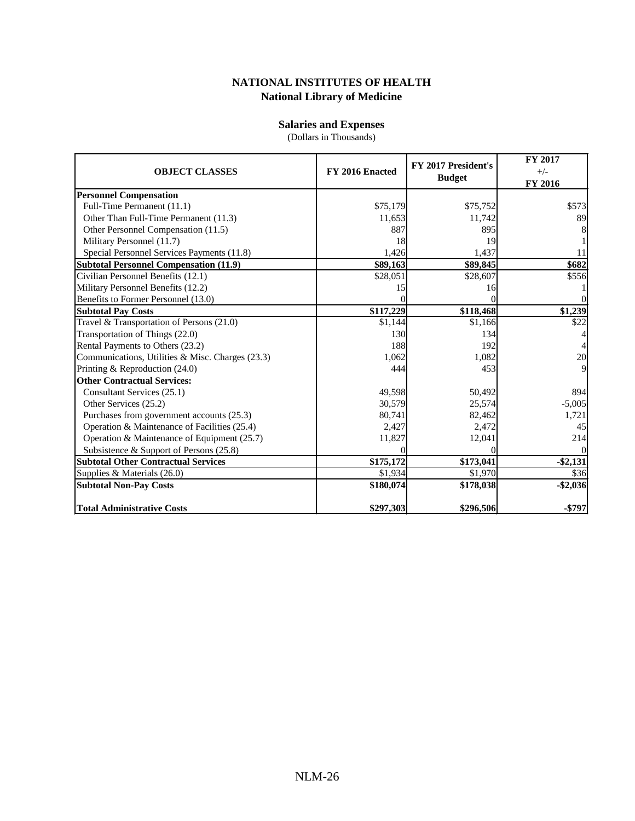#### **Salaries and Expenses**

(Dollars in Thousands)

| <b>OBJECT CLASSES</b>                            | FY 2016 Enacted | FY 2017 President's<br><b>Budget</b> | FY 2017<br>$+/-$<br><b>FY 2016</b> |
|--------------------------------------------------|-----------------|--------------------------------------|------------------------------------|
| <b>Personnel Compensation</b>                    |                 |                                      |                                    |
| Full-Time Permanent (11.1)                       | \$75,179        | \$75,752                             | \$573                              |
| Other Than Full-Time Permanent (11.3)            | 11,653          | 11,742                               | 89                                 |
| Other Personnel Compensation (11.5)              | 887             | 895                                  | 8                                  |
| Military Personnel (11.7)                        | 18              | 19                                   |                                    |
| Special Personnel Services Payments (11.8)       | 1,426           | 1,437                                | 11                                 |
| <b>Subtotal Personnel Compensation (11.9)</b>    | \$89,163        | \$89,845                             | \$682                              |
| Civilian Personnel Benefits (12.1)               | \$28,051        | \$28,607                             | \$556                              |
| Military Personnel Benefits (12.2)               | 15              | 16                                   |                                    |
| Benefits to Former Personnel (13.0)              |                 |                                      |                                    |
| <b>Subtotal Pay Costs</b>                        | \$117,229       | \$118,468                            | \$1,239                            |
| Travel & Transportation of Persons (21.0)        | \$1,144         | \$1,166                              | \$22                               |
| Transportation of Things (22.0)                  | 130             | 134                                  |                                    |
| Rental Payments to Others (23.2)                 | 188             | 192                                  |                                    |
| Communications, Utilities & Misc. Charges (23.3) | 1.062           | 1,082                                | 20                                 |
| Printing & Reproduction $(24.0)$                 | 444             | 453                                  | $\overline{Q}$                     |
| <b>Other Contractual Services:</b>               |                 |                                      |                                    |
| Consultant Services (25.1)                       | 49,598          | 50,492                               | 894                                |
| Other Services (25.2)                            | 30,579          | 25,574                               | $-5,005$                           |
| Purchases from government accounts (25.3)        | 80,741          | 82,462                               | 1,721                              |
| Operation & Maintenance of Facilities (25.4)     | 2,427           | 2,472                                | 45                                 |
| Operation & Maintenance of Equipment (25.7)      | 11,827          | 12,041                               | 214                                |
| Subsistence & Support of Persons (25.8)          |                 |                                      |                                    |
| <b>Subtotal Other Contractual Services</b>       | \$175,172       | \$173,041                            | $-$ \$2,131                        |
| Supplies & Materials (26.0)                      | \$1,934         | \$1,970                              | \$36                               |
| <b>Subtotal Non-Pay Costs</b>                    | \$180,074       | \$178,038                            | $-$2,036$                          |
| Total Administrative Costs                       | \$297,303       | \$296,506                            | $-$797$                            |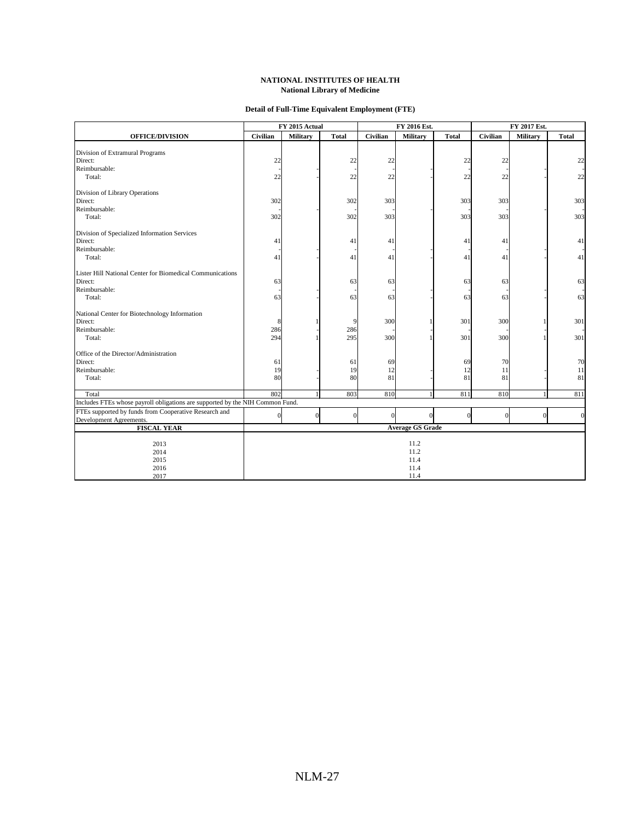#### **Detail of Full-Time Equivalent Employment (FTE)**

|                                                                               |                  | FY 2015 Actual |              | FY 2016 Est.   |                         | FY 2017 Est. |                 |                 |              |
|-------------------------------------------------------------------------------|------------------|----------------|--------------|----------------|-------------------------|--------------|-----------------|-----------------|--------------|
| <b>OFFICE/DIVISION</b>                                                        | Civilian         | Military       | <b>Total</b> | Civilian       | Military                | <b>Total</b> | <b>Civilian</b> | <b>Military</b> | <b>Total</b> |
|                                                                               |                  |                |              |                |                         |              |                 |                 |              |
| Division of Extramural Programs                                               |                  |                |              |                |                         |              |                 |                 |              |
| Direct:                                                                       | 22               |                | 22           | 22             |                         | 22           | 22              |                 | 22           |
| Reimbursable:                                                                 |                  |                |              |                |                         |              |                 |                 |              |
| Total:                                                                        | 22               |                | 22           | 22             |                         | 22           | 22              |                 | 22           |
| Division of Library Operations                                                |                  |                |              |                |                         |              |                 |                 |              |
| Direct:                                                                       | 302              |                | 302          | 303            |                         | 303          | 303             |                 | 303          |
| Reimbursable:                                                                 |                  |                |              |                |                         |              |                 |                 |              |
| Total:                                                                        | 302              |                | 302          | 303            |                         | 303          | 303             |                 | 303          |
| Division of Specialized Information Services                                  |                  |                |              |                |                         |              |                 |                 |              |
| Direct:                                                                       | 41               |                | 41           | 41             |                         | 41           | 41              |                 | 41           |
| Reimbursable:                                                                 |                  |                |              |                |                         |              |                 |                 |              |
| Total:                                                                        | 41               |                | 41           | 41             |                         | 41           | 41              |                 | 41           |
| Lister Hill National Center for Biomedical Communications                     |                  |                |              |                |                         |              |                 |                 |              |
| Direct:                                                                       | 63               |                | 63           | 63             |                         | 63           | 63              |                 | 63           |
| Reimbursable:                                                                 |                  |                |              |                |                         |              |                 |                 |              |
| Total:                                                                        | 63               |                | 63           | 63             |                         | 63           | 63              |                 | 63           |
| National Center for Biotechnology Information                                 |                  |                |              |                |                         |              |                 |                 |              |
| Direct:                                                                       | 8                |                | 9            | 300            |                         | 301          | 300             |                 | 301          |
| Reimbursable:                                                                 | 286              |                | 286          |                |                         |              |                 |                 |              |
| Total:                                                                        | 294              |                | 295          | 300            |                         | 301          | 300             |                 | 301          |
| Office of the Director/Administration                                         |                  |                |              |                |                         |              |                 |                 |              |
| Direct:                                                                       | 61               |                | 61           | 69             |                         | 69           | 70              |                 | 70           |
| Reimbursable:                                                                 | 19               |                | 19           | 12             |                         | 12           | 11              |                 | 11           |
| Total:                                                                        | 80               |                | 80           | 81             |                         | 81           | 81              |                 | 81           |
|                                                                               |                  |                |              |                |                         |              |                 |                 |              |
| Total                                                                         | 802              |                | 803          | 810            |                         | 811          | 810             |                 | 811          |
| Includes FTEs whose payroll obligations are supported by the NIH Common Fund. |                  |                |              |                |                         |              |                 |                 |              |
| FTEs supported by funds from Cooperative Research and                         | $\boldsymbol{0}$ | $\Omega$       | $\mathbf{0}$ | $\overline{0}$ | $\overline{0}$          | $\Omega$     | $\sqrt{ }$      | $\Omega$        | $\mathbf{0}$ |
| Development Agreements.                                                       |                  |                |              |                |                         |              |                 |                 |              |
| <b>FISCAL YEAR</b>                                                            |                  |                |              |                | <b>Average GS Grade</b> |              |                 |                 |              |
| 2013                                                                          | 11.2             |                |              |                |                         |              |                 |                 |              |
| 2014                                                                          | 11.2             |                |              |                |                         |              |                 |                 |              |
| 2015                                                                          |                  |                |              |                | 11.4                    |              |                 |                 |              |
| 2016                                                                          |                  |                |              |                | 11.4                    |              |                 |                 |              |
| 2017                                                                          |                  |                |              |                | 11.4                    |              |                 |                 |              |